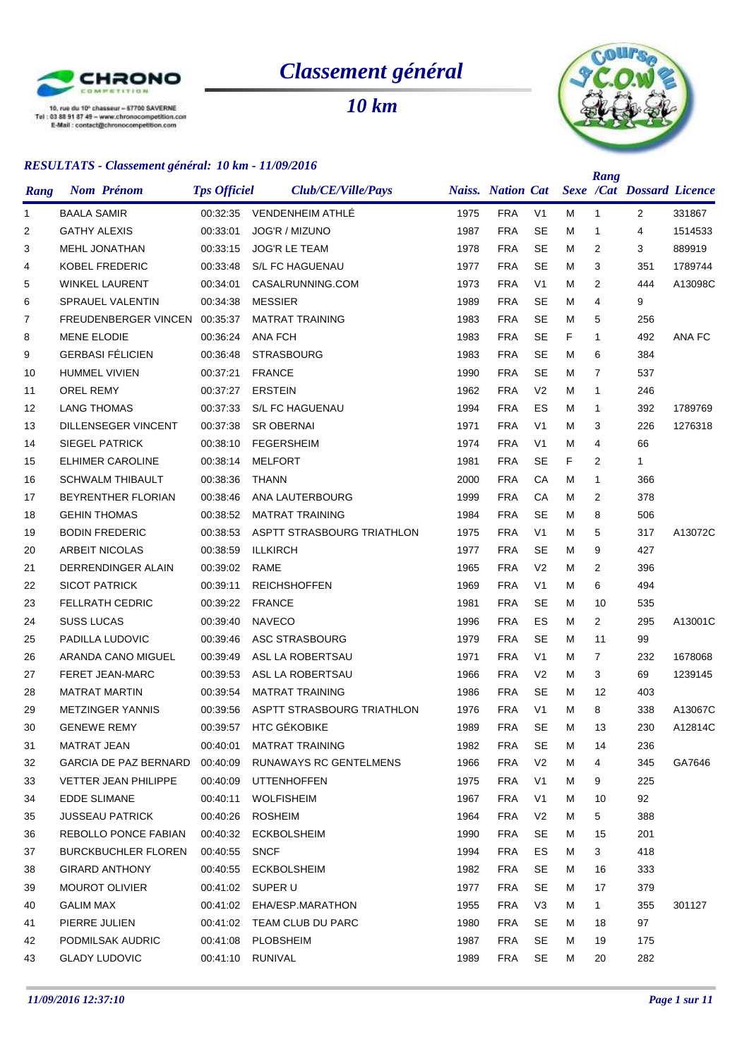

# *Classement général*

*10 km*



|                | <u>RESULTATS - Cassement general. To Rm - 11/07/2010</u> |                     |                            |      |                          |                |   | Rang         |                                  |         |
|----------------|----------------------------------------------------------|---------------------|----------------------------|------|--------------------------|----------------|---|--------------|----------------------------------|---------|
| Rang           | <b>Nom Prénom</b>                                        | <b>Tps Officiel</b> | Club/CE/Ville/Pays         |      | <b>Naiss.</b> Nation Cat |                |   |              | <b>Sexe /Cat Dossard Licence</b> |         |
| 1              | <b>BAALA SAMIR</b>                                       | 00:32:35            | VENDENHEIM ATHLÉ           | 1975 | <b>FRA</b>               | V <sub>1</sub> | м | $\mathbf{1}$ | $\overline{2}$                   | 331867  |
| $\overline{2}$ | <b>GATHY ALEXIS</b>                                      | 00:33:01            | <b>JOG'R / MIZUNO</b>      | 1987 | <b>FRA</b>               | <b>SE</b>      | м | $\mathbf{1}$ | 4                                | 1514533 |
| 3              | <b>MEHL JONATHAN</b>                                     | 00:33:15            | <b>JOG'R LE TEAM</b>       | 1978 | <b>FRA</b>               | <b>SE</b>      | м | 2            | 3                                | 889919  |
| 4              | <b>KOBEL FREDERIC</b>                                    | 00:33:48            | S/L FC HAGUENAU            | 1977 | <b>FRA</b>               | <b>SE</b>      | м | 3            | 351                              | 1789744 |
| 5              | WINKEL LAURENT                                           | 00:34:01            | CASALRUNNING.COM           | 1973 | <b>FRA</b>               | V <sub>1</sub> | м | 2            | 444                              | A13098C |
| 6              | <b>SPRAUEL VALENTIN</b>                                  | 00:34:38            | <b>MESSIER</b>             | 1989 | <b>FRA</b>               | SE             | м | 4            | 9                                |         |
| 7              | FREUDENBERGER VINCEN 00:35:37                            |                     | <b>MATRAT TRAINING</b>     | 1983 | <b>FRA</b>               | <b>SE</b>      | м | 5            | 256                              |         |
| 8              | <b>MENE ELODIE</b>                                       | 00:36:24            | <b>ANA FCH</b>             | 1983 | <b>FRA</b>               | SE             | F | 1            | 492                              | ANA FC  |
| 9              | <b>GERBASI FÉLICIEN</b>                                  | 00:36:48            | <b>STRASBOURG</b>          | 1983 | <b>FRA</b>               | <b>SE</b>      | м | 6            | 384                              |         |
| 10             | <b>HUMMEL VIVIEN</b>                                     | 00:37:21            | <b>FRANCE</b>              | 1990 | <b>FRA</b>               | <b>SE</b>      | м | 7            | 537                              |         |
| 11             | <b>OREL REMY</b>                                         | 00:37:27            | <b>ERSTEIN</b>             | 1962 | <b>FRA</b>               | V <sub>2</sub> | м | 1            | 246                              |         |
| 12             | <b>LANG THOMAS</b>                                       | 00:37:33            | S/L FC HAGUENAU            | 1994 | <b>FRA</b>               | ES             | м | 1            | 392                              | 1789769 |
| 13             | <b>DILLENSEGER VINCENT</b>                               | 00:37:38            | <b>SR OBERNAI</b>          | 1971 | <b>FRA</b>               | V <sub>1</sub> | м | 3            | 226                              | 1276318 |
| 14             | <b>SIEGEL PATRICK</b>                                    | 00:38:10            | <b>FEGERSHEIM</b>          | 1974 | <b>FRA</b>               | V <sub>1</sub> | M | 4            | 66                               |         |
| 15             | <b>ELHIMER CAROLINE</b>                                  | 00:38:14            | <b>MELFORT</b>             | 1981 | <b>FRA</b>               | SE             | F | 2            | $\mathbf{1}$                     |         |
| 16             | <b>SCHWALM THIBAULT</b>                                  | 00:38:36            | <b>THANN</b>               | 2000 | <b>FRA</b>               | СA             | м | $\mathbf{1}$ | 366                              |         |
| 17             | BEYRENTHER FLORIAN                                       | 00:38:46            | ANA LAUTERBOURG            | 1999 | <b>FRA</b>               | CA             | м | 2            | 378                              |         |
| 18             | <b>GEHIN THOMAS</b>                                      | 00:38:52            | <b>MATRAT TRAINING</b>     | 1984 | <b>FRA</b>               | SE             | м | 8            | 506                              |         |
| 19             | <b>BODIN FREDERIC</b>                                    | 00:38:53            | ASPTT STRASBOURG TRIATHLON | 1975 | <b>FRA</b>               | V <sub>1</sub> | м | 5            | 317                              | A13072C |
| 20             | <b>ARBEIT NICOLAS</b>                                    | 00:38:59            | <b>ILLKIRCH</b>            | 1977 | <b>FRA</b>               | SE             | м | 9            | 427                              |         |
| 21             | DERRENDINGER ALAIN                                       | 00:39:02            | RAME                       | 1965 | <b>FRA</b>               | V <sub>2</sub> | М | 2            | 396                              |         |
| 22             | <b>SICOT PATRICK</b>                                     | 00:39:11            | <b>REICHSHOFFEN</b>        | 1969 | <b>FRA</b>               | V <sub>1</sub> | м | 6            | 494                              |         |
| 23             | <b>FELLRATH CEDRIC</b>                                   | 00:39:22            | <b>FRANCE</b>              | 1981 | <b>FRA</b>               | SE             | м | 10           | 535                              |         |
| 24             | <b>SUSS LUCAS</b>                                        | 00:39:40            | <b>NAVECO</b>              | 1996 | <b>FRA</b>               | ES             | м | 2            | 295                              | A13001C |
| 25             | PADILLA LUDOVIC                                          | 00:39:46            | ASC STRASBOURG             | 1979 | <b>FRA</b>               | SE             | м | 11           | 99                               |         |
| 26             | ARANDA CANO MIGUEL                                       | 00:39:49            | ASL LA ROBERTSAU           | 1971 | <b>FRA</b>               | V <sub>1</sub> | м | 7            | 232                              | 1678068 |
| 27             | FERET JEAN-MARC                                          | 00:39:53            | ASL LA ROBERTSAU           | 1966 | <b>FRA</b>               | V <sub>2</sub> | М | 3            | 69                               | 1239145 |
| 28             | <b>MATRAT MARTIN</b>                                     | 00:39:54            | <b>MATRAT TRAINING</b>     | 1986 | <b>FRA</b>               | SE             | М | 12           | 403                              |         |
| 29             | <b>METZINGER YANNIS</b>                                  | 00:39:56            | ASPTT STRASBOURG TRIATHLON | 1976 | <b>FRA</b>               | V <sub>1</sub> | м | 8            | 338                              | A13067C |
| 30             | <b>GENEWE REMY</b>                                       | 00:39:57            | <b>HTC GÉKOBIKE</b>        | 1989 | <b>FRA</b>               | <b>SE</b>      | м | 13           | 230                              | A12814C |
| 31             | <b>MATRAT JEAN</b>                                       | 00:40:01            | <b>MATRAT TRAINING</b>     | 1982 | <b>FRA</b>               | <b>SE</b>      | M | 14           | 236                              |         |
| 32             | GARCIA DE PAZ BERNARD                                    | 00:40:09            | RUNAWAYS RC GENTELMENS     | 1966 | <b>FRA</b>               | V <sub>2</sub> | м | 4            | 345                              | GA7646  |
| 33             | <b>VETTER JEAN PHILIPPE</b>                              | 00:40:09            | <b>UTTENHOFFEN</b>         | 1975 | <b>FRA</b>               | V <sub>1</sub> | М | 9            | 225                              |         |
| 34             | <b>EDDE SLIMANE</b>                                      | 00:40:11            | <b>WOLFISHEIM</b>          | 1967 | <b>FRA</b>               | V <sub>1</sub> | М | 10           | 92                               |         |
| 35             | JUSSEAU PATRICK                                          | 00:40:26            | <b>ROSHEIM</b>             | 1964 | <b>FRA</b>               | V <sub>2</sub> | М | 5            | 388                              |         |
| 36             | REBOLLO PONCE FABIAN                                     | 00:40:32            | <b>ECKBOLSHEIM</b>         | 1990 | <b>FRA</b>               | <b>SE</b>      | м | 15           | 201                              |         |
| 37             | <b>BURCKBUCHLER FLOREN</b>                               | 00:40:55            | <b>SNCF</b>                | 1994 | <b>FRA</b>               | ES             | М | 3            | 418                              |         |
| 38             | <b>GIRARD ANTHONY</b>                                    | 00:40:55            | <b>ECKBOLSHEIM</b>         | 1982 | <b>FRA</b>               | <b>SE</b>      | м | 16           | 333                              |         |
| 39             | <b>MOUROT OLIVIER</b>                                    | 00:41:02            | SUPER U                    | 1977 | <b>FRA</b>               | <b>SE</b>      | М | 17           | 379                              |         |
| 40             | <b>GALIM MAX</b>                                         | 00:41:02            | EHA/ESP.MARATHON           | 1955 | <b>FRA</b>               | V <sub>3</sub> | М | $\mathbf{1}$ | 355                              | 301127  |
| 41             | PIERRE JULIEN                                            | 00:41:02            | TEAM CLUB DU PARC          | 1980 | <b>FRA</b>               | <b>SE</b>      | М | 18           | 97                               |         |
| 42             | PODMILSAK AUDRIC                                         | 00:41:08            | PLOBSHEIM                  | 1987 | <b>FRA</b>               | SE             | М | 19           | 175                              |         |
| 43             | <b>GLADY LUDOVIC</b>                                     | 00:41:10            | RUNIVAL                    | 1989 | <b>FRA</b>               | <b>SE</b>      | М | 20           | 282                              |         |
|                |                                                          |                     |                            |      |                          |                |   |              |                                  |         |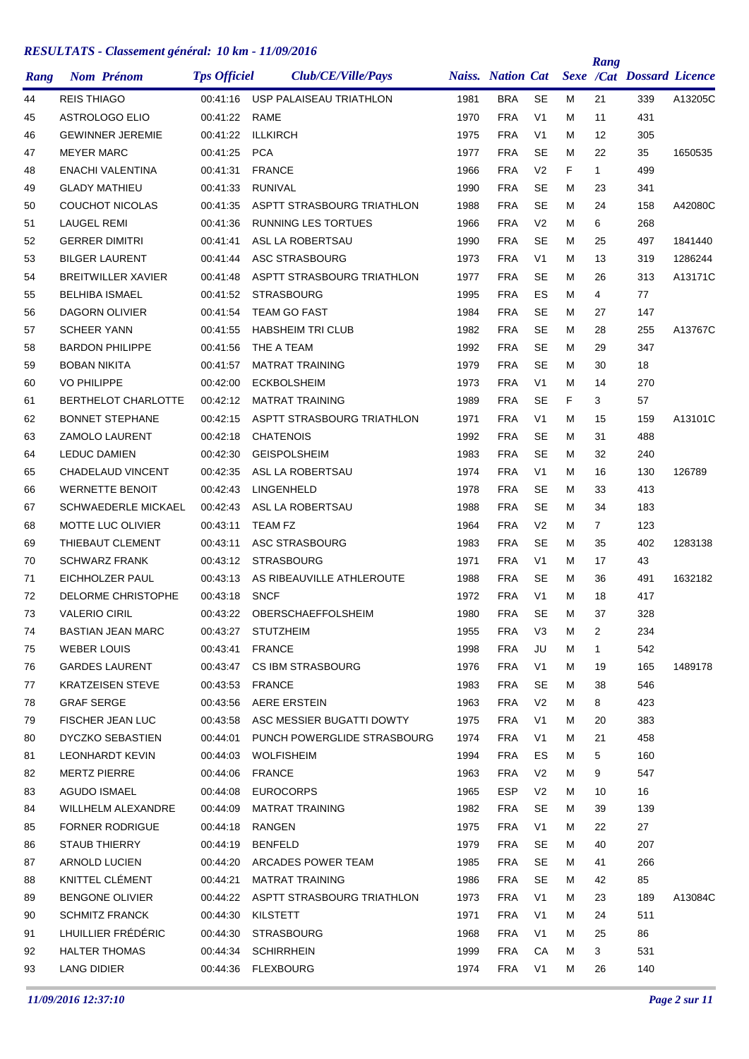| Rang     | <b>Nom Prénom</b>          | <b>Tps Officiel</b> | Club/CE/Ville/Pays          |      | <b>Naiss.</b> Nation Cat |                |   | Rang           | <b>Sexe /Cat Dossard Licence</b> |         |
|----------|----------------------------|---------------------|-----------------------------|------|--------------------------|----------------|---|----------------|----------------------------------|---------|
| 44       | <b>REIS THIAGO</b>         | 00:41:16            | USP PALAISEAU TRIATHLON     | 1981 | <b>BRA</b>               | <b>SE</b>      | М | 21             | 339                              | A13205C |
| 45       | ASTROLOGO ELIO             | 00:41:22            | RAME                        | 1970 | <b>FRA</b>               | V <sub>1</sub> | М | 11             | 431                              |         |
| 46       | <b>GEWINNER JEREMIE</b>    | 00:41:22            | <b>ILLKIRCH</b>             | 1975 | <b>FRA</b>               | V <sub>1</sub> | м | 12             | 305                              |         |
| 47       | <b>MEYER MARC</b>          | 00:41:25            | <b>PCA</b>                  | 1977 | <b>FRA</b>               | <b>SE</b>      | м | 22             | 35                               | 1650535 |
| 48       | <b>ENACHI VALENTINA</b>    | 00:41:31            | <b>FRANCE</b>               | 1966 | <b>FRA</b>               | V <sub>2</sub> | F | $\mathbf{1}$   | 499                              |         |
| 49       | <b>GLADY MATHIEU</b>       | 00:41:33            | <b>RUNIVAL</b>              | 1990 | <b>FRA</b>               | <b>SE</b>      | м | 23             | 341                              |         |
| 50       | <b>COUCHOT NICOLAS</b>     | 00:41:35            | ASPTT STRASBOURG TRIATHLON  | 1988 | <b>FRA</b>               | <b>SE</b>      | М | 24             | 158                              | A42080C |
| 51       | <b>LAUGEL REMI</b>         | 00:41:36            | <b>RUNNING LES TORTUES</b>  | 1966 | <b>FRA</b>               | V <sub>2</sub> | м | 6              | 268                              |         |
| 52       | <b>GERRER DIMITRI</b>      | 00:41:41            | <b>ASL LA ROBERTSAU</b>     | 1990 | <b>FRA</b>               | <b>SE</b>      | м | 25             | 497                              | 1841440 |
| 53       | <b>BILGER LAURENT</b>      | 00:41:44            | ASC STRASBOURG              | 1973 | <b>FRA</b>               | V <sub>1</sub> | М | 13             | 319                              | 1286244 |
| 54       | <b>BREITWILLER XAVIER</b>  | 00:41:48            | ASPTT STRASBOURG TRIATHLON  | 1977 | <b>FRA</b>               | <b>SE</b>      | м | 26             | 313                              | A13171C |
| 55       | <b>BELHIBA ISMAEL</b>      | 00:41:52            | <b>STRASBOURG</b>           | 1995 | <b>FRA</b>               | ES             | М | 4              | 77                               |         |
| 56       | <b>DAGORN OLIVIER</b>      | 00:41:54            | <b>TEAM GO FAST</b>         | 1984 | <b>FRA</b>               | <b>SE</b>      | м | 27             | 147                              |         |
| 57       | <b>SCHEER YANN</b>         | 00:41:55            | <b>HABSHEIM TRI CLUB</b>    | 1982 | <b>FRA</b>               | <b>SE</b>      | М | 28             | 255                              | A13767C |
| 58       | <b>BARDON PHILIPPE</b>     | 00:41:56            | THE A TEAM                  | 1992 | <b>FRA</b>               | <b>SE</b>      | м | 29             | 347                              |         |
| 59       | <b>BOBAN NIKITA</b>        | 00:41:57            | <b>MATRAT TRAINING</b>      | 1979 | <b>FRA</b>               | <b>SE</b>      | м | 30             | 18                               |         |
| 60       | <b>VO PHILIPPE</b>         | 00:42:00            | <b>ECKBOLSHEIM</b>          | 1973 | <b>FRA</b>               | V <sub>1</sub> | М | 14             | 270                              |         |
| 61       | BERTHELOT CHARLOTTE        | 00:42:12            | <b>MATRAT TRAINING</b>      | 1989 | <b>FRA</b>               | <b>SE</b>      | F | 3              | 57                               |         |
| 62       | <b>BONNET STEPHANE</b>     | 00:42:15            | ASPTT STRASBOURG TRIATHLON  | 1971 | <b>FRA</b>               | V <sub>1</sub> | М | 15             | 159                              | A13101C |
| 63       | <b>ZAMOLO LAURENT</b>      | 00:42:18            | <b>CHATENOIS</b>            | 1992 | <b>FRA</b>               | <b>SE</b>      | м | 31             | 488                              |         |
| 64       | <b>LEDUC DAMIEN</b>        | 00:42:30            | <b>GEISPOLSHEIM</b>         | 1983 | <b>FRA</b>               | <b>SE</b>      | м | 32             | 240                              |         |
| 65       | <b>CHADELAUD VINCENT</b>   | 00:42:35            | ASL LA ROBERTSAU            | 1974 | <b>FRA</b>               | V <sub>1</sub> | м | 16             | 130                              | 126789  |
| 66       | <b>WERNETTE BENOIT</b>     | 00:42:43            | <b>LINGENHELD</b>           | 1978 | <b>FRA</b>               | <b>SE</b>      | м | 33             | 413                              |         |
| 67       | <b>SCHWAEDERLE MICKAEL</b> | 00:42:43            | ASL LA ROBERTSAU            | 1988 | <b>FRA</b>               | <b>SE</b>      | М | 34             | 183                              |         |
| 68       | MOTTE LUC OLIVIER          | 00:43:11            | <b>TEAM FZ</b>              | 1964 | <b>FRA</b>               | V <sub>2</sub> | м | $\overline{7}$ | 123                              |         |
| 69       | <b>THIEBAUT CLEMENT</b>    | 00:43:11            | ASC STRASBOURG              | 1983 | <b>FRA</b>               | <b>SE</b>      | М | 35             | 402                              | 1283138 |
| 70       | <b>SCHWARZ FRANK</b>       | 00:43:12            | <b>STRASBOURG</b>           | 1971 | <b>FRA</b>               | V <sub>1</sub> | м | 17             | 43                               |         |
|          | EICHHOLZER PAUL            | 00:43:13            | AS RIBEAUVILLE ATHLEROUTE   | 1988 | <b>FRA</b>               | <b>SE</b>      | м |                | 491                              |         |
| 71<br>72 | <b>DELORME CHRISTOPHE</b>  | 00:43:18            | <b>SNCF</b>                 | 1972 | <b>FRA</b>               | V <sub>1</sub> | М | 36<br>18       | 417                              | 1632182 |
|          | <b>VALERIO CIRIL</b>       |                     |                             | 1980 | <b>FRA</b>               | <b>SE</b>      |   |                | 328                              |         |
| 73       | <b>BASTIAN JEAN MARC</b>   | 00:43:22            | OBERSCHAEFFOLSHEIM          | 1955 | <b>FRA</b>               |                | М | 37             |                                  |         |
| 74       |                            | 00:43:27            | <b>STUTZHEIM</b>            |      |                          | V3             | M | $\overline{2}$ | 234                              |         |
| 75       | WEBER LOUIS                | 00:43:41            | <b>FRANCE</b>               | 1998 | <b>FRA</b>               | JU             | M | $\mathbf{1}$   | 542                              |         |
| 76       | <b>GARDES LAURENT</b>      | 00:43:47            | CS IBM STRASBOURG           | 1976 | <b>FRA</b>               | V <sub>1</sub> | M | 19             | 165                              | 1489178 |
| 77       | <b>KRATZEISEN STEVE</b>    | 00:43:53            | <b>FRANCE</b>               | 1983 | <b>FRA</b>               | <b>SE</b>      | М | 38             | 546                              |         |
| 78       | <b>GRAF SERGE</b>          | 00:43:56            | <b>AERE ERSTEIN</b>         | 1963 | <b>FRA</b>               | V <sub>2</sub> | М | 8              | 423                              |         |
| 79       | <b>FISCHER JEAN LUC</b>    | 00:43:58            | ASC MESSIER BUGATTI DOWTY   | 1975 | <b>FRA</b>               | V <sub>1</sub> | м | 20             | 383                              |         |
| 80       | <b>DYCZKO SEBASTIEN</b>    | 00:44:01            | PUNCH POWERGLIDE STRASBOURG | 1974 | <b>FRA</b>               | V <sub>1</sub> | м | 21             | 458                              |         |
| 81       | <b>LEONHARDT KEVIN</b>     | 00:44:03            | <b>WOLFISHEIM</b>           | 1994 | <b>FRA</b>               | ES             | М | 5              | 160                              |         |
| 82       | <b>MERTZ PIERRE</b>        | 00:44:06            | <b>FRANCE</b>               | 1963 | <b>FRA</b>               | V <sub>2</sub> | M | 9              | 547                              |         |
| 83       | AGUDO ISMAEL               | 00:44:08            | <b>EUROCORPS</b>            | 1965 | ESP                      | V <sub>2</sub> | М | 10             | 16                               |         |
| 84       | WILLHELM ALEXANDRE         | 00:44:09            | <b>MATRAT TRAINING</b>      | 1982 | <b>FRA</b>               | <b>SE</b>      | М | 39             | 139                              |         |
| 85       | <b>FORNER RODRIGUE</b>     | 00:44:18            | RANGEN                      | 1975 | <b>FRA</b>               | V <sub>1</sub> | M | 22             | 27                               |         |
| 86       | <b>STAUB THIERRY</b>       | 00:44:19            | <b>BENFELD</b>              | 1979 | <b>FRA</b>               | <b>SE</b>      | м | 40             | 207                              |         |
| 87       | ARNOLD LUCIEN              | 00:44:20            | ARCADES POWER TEAM          | 1985 | <b>FRA</b>               | <b>SE</b>      | м | 41             | 266                              |         |
| 88       | KNITTEL CLÉMENT            | 00:44:21            | <b>MATRAT TRAINING</b>      | 1986 | <b>FRA</b>               | <b>SE</b>      | M | 42             | 85                               |         |
| 89       | <b>BENGONE OLIVIER</b>     | 00:44:22            | ASPTT STRASBOURG TRIATHLON  | 1973 | <b>FRA</b>               | V <sub>1</sub> | М | 23             | 189                              | A13084C |
| 90       | <b>SCHMITZ FRANCK</b>      | 00:44:30            | KILSTETT                    | 1971 | <b>FRA</b>               | V1             | M | 24             | 511                              |         |
| 91       | LHUILLIER FRÉDÉRIC         | 00:44:30            | <b>STRASBOURG</b>           | 1968 | <b>FRA</b>               | V1             | м | 25             | 86                               |         |
| 92       | <b>HALTER THOMAS</b>       | 00:44:34            | <b>SCHIRRHEIN</b>           | 1999 | <b>FRA</b>               | CA             | М | 3              | 531                              |         |
| 93       | LANG DIDIER                |                     | 00:44:36 FLEXBOURG          | 1974 | <b>FRA</b>               | V <sub>1</sub> | м | 26             | 140                              |         |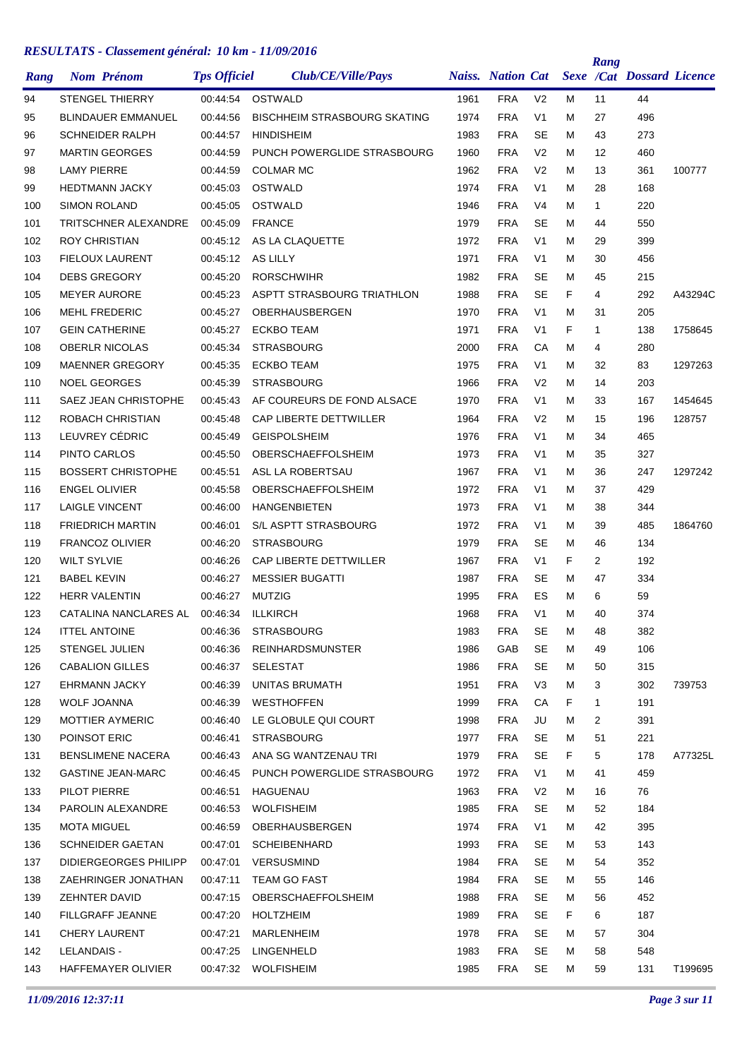| Rang | <b>Nom Prénom</b>         | <b>Tps Officiel</b> | Club/CE/Ville/Pays                  |      | <b>Naiss.</b> Nation Cat |                |    | Rang           | <b>Sexe /Cat Dossard Licence</b> |         |
|------|---------------------------|---------------------|-------------------------------------|------|--------------------------|----------------|----|----------------|----------------------------------|---------|
| 94   | <b>STENGEL THIERRY</b>    | 00:44:54            | OSTWALD                             | 1961 | <b>FRA</b>               | V <sub>2</sub> | м  | 11             | 44                               |         |
| 95   | <b>BLINDAUER EMMANUEL</b> | 00:44:56            | <b>BISCHHEIM STRASBOURG SKATING</b> | 1974 | <b>FRA</b>               | V <sub>1</sub> | м  | 27             | 496                              |         |
| 96   | <b>SCHNEIDER RALPH</b>    | 00:44:57            | <b>HINDISHEIM</b>                   | 1983 | <b>FRA</b>               | <b>SE</b>      | м  | 43             | 273                              |         |
| 97   | <b>MARTIN GEORGES</b>     | 00:44:59            | PUNCH POWERGLIDE STRASBOURG         | 1960 | <b>FRA</b>               | V <sub>2</sub> | М  | 12             | 460                              |         |
| 98   | <b>LAMY PIERRE</b>        | 00:44:59            | <b>COLMAR MC</b>                    | 1962 | <b>FRA</b>               | V <sub>2</sub> | м  | 13             | 361                              | 100777  |
| 99   | <b>HEDTMANN JACKY</b>     | 00:45:03            | OSTWALD                             | 1974 | <b>FRA</b>               | V <sub>1</sub> | м  | 28             | 168                              |         |
| 100  | <b>SIMON ROLAND</b>       | 00:45:05            | OSTWALD                             | 1946 | <b>FRA</b>               | V4             | м  | $\mathbf{1}$   | 220                              |         |
| 101  | TRITSCHNER ALEXANDRE      | 00:45:09            | <b>FRANCE</b>                       | 1979 | <b>FRA</b>               | <b>SE</b>      | м  | 44             | 550                              |         |
| 102  | ROY CHRISTIAN             | 00:45:12            | AS LA CLAQUETTE                     | 1972 | <b>FRA</b>               | V <sub>1</sub> | м  | 29             | 399                              |         |
| 103  | <b>FIELOUX LAURENT</b>    | 00:45:12            | AS LILLY                            | 1971 | <b>FRA</b>               | V <sub>1</sub> | м  | 30             | 456                              |         |
| 104  | <b>DEBS GREGORY</b>       | 00:45:20            | <b>RORSCHWIHR</b>                   | 1982 | <b>FRA</b>               | <b>SE</b>      | м  | 45             | 215                              |         |
| 105  | <b>MEYER AURORE</b>       | 00:45:23            | ASPTT STRASBOURG TRIATHLON          | 1988 | <b>FRA</b>               | SE             | F  | 4              | 292                              | A43294C |
| 106  | <b>MEHL FREDERIC</b>      | 00:45:27            | OBERHAUSBERGEN                      | 1970 | <b>FRA</b>               | V <sub>1</sub> | М  | 31             | 205                              |         |
| 107  | <b>GEIN CATHERINE</b>     | 00:45:27            | <b>ECKBO TEAM</b>                   | 1971 | <b>FRA</b>               | V <sub>1</sub> | F  | 1              | 138                              | 1758645 |
| 108  | <b>OBERLR NICOLAS</b>     | 00:45:34            | <b>STRASBOURG</b>                   | 2000 | <b>FRA</b>               | CA             | М  | 4              | 280                              |         |
| 109  | <b>MAENNER GREGORY</b>    | 00:45:35            | <b>ECKBO TEAM</b>                   | 1975 | <b>FRA</b>               | V <sub>1</sub> | м  | 32             | 83                               | 1297263 |
| 110  | <b>NOEL GEORGES</b>       | 00:45:39            | <b>STRASBOURG</b>                   | 1966 | <b>FRA</b>               | V <sub>2</sub> | м  | 14             | 203                              |         |
| 111  | SAEZ JEAN CHRISTOPHE      | 00:45:43            | AF COUREURS DE FOND ALSACE          | 1970 | <b>FRA</b>               | V <sub>1</sub> | м  | 33             | 167                              | 1454645 |
| 112  | ROBACH CHRISTIAN          | 00:45:48            | CAP LIBERTE DETTWILLER              | 1964 | <b>FRA</b>               | V <sub>2</sub> | м  | 15             | 196                              | 128757  |
| 113  | LEUVREY CÉDRIC            | 00:45:49            | <b>GEISPOLSHEIM</b>                 | 1976 | <b>FRA</b>               | V <sub>1</sub> | м  | 34             | 465                              |         |
| 114  | PINTO CARLOS              | 00:45:50            | OBERSCHAEFFOLSHEIM                  | 1973 | <b>FRA</b>               | V <sub>1</sub> | м  | 35             | 327                              |         |
| 115  | <b>BOSSERT CHRISTOPHE</b> | 00:45:51            | ASL LA ROBERTSAU                    | 1967 | <b>FRA</b>               | V <sub>1</sub> | м  | 36             | 247                              | 1297242 |
| 116  | <b>ENGEL OLIVIER</b>      | 00:45:58            | OBERSCHAEFFOLSHEIM                  | 1972 | <b>FRA</b>               | V <sub>1</sub> | м  | 37             | 429                              |         |
| 117  | <b>LAIGLE VINCENT</b>     | 00:46:00            | <b>HANGENBIETEN</b>                 | 1973 | <b>FRA</b>               | V <sub>1</sub> | м  | 38             | 344                              |         |
| 118  | <b>FRIEDRICH MARTIN</b>   | 00:46:01            | S/L ASPTT STRASBOURG                | 1972 | <b>FRA</b>               | V <sub>1</sub> | м  | 39             | 485                              | 1864760 |
| 119  | <b>FRANCOZ OLIVIER</b>    | 00:46:20            | <b>STRASBOURG</b>                   | 1979 | <b>FRA</b>               | SE             | м  | 46             | 134                              |         |
| 120  | <b>WILT SYLVIE</b>        | 00:46:26            | <b>CAP LIBERTE DETTWILLER</b>       | 1967 | <b>FRA</b>               | V <sub>1</sub> | F  | $\overline{2}$ | 192                              |         |
| 121  | <b>BABEL KEVIN</b>        | 00:46:27            | <b>MESSIER BUGATTI</b>              | 1987 | <b>FRA</b>               | <b>SE</b>      | м  | 47             | 334                              |         |
| 122  | HERR VALENTIN             | 00:46:27            | <b>MUTZIG</b>                       | 1995 | <b>FRA</b>               | ES             | м  | 6              | 59                               |         |
| 123  | CATALINA NANCLARES AL     | 00:46:34            | <b>ILLKIRCH</b>                     | 1968 | <b>FRA</b>               | V <sub>1</sub> | М  | 40             | 374                              |         |
| 124  | <b>ITTEL ANTOINE</b>      | 00:46:36            | <b>STRASBOURG</b>                   | 1983 | <b>FRA</b>               | <b>SE</b>      | м  | 48             | 382                              |         |
| 125  | STENGEL JULIEN            | 00:46:36            | REINHARDSMUNSTER                    | 1986 | GAB                      | <b>SE</b>      | м  | 49             | 106                              |         |
| 126  | CABALION GILLES           | 00:46:37            | SELESTAT                            | 1986 | <b>FRA</b>               | <b>SE</b>      | м  | 50             | 315                              |         |
| 127  | EHRMANN JACKY             | 00:46:39            | UNITAS BRUMATH                      | 1951 | <b>FRA</b>               | V <sub>3</sub> | м  | 3              | 302                              | 739753  |
| 128  | WOLF JOANNA               | 00:46:39            | <b>WESTHOFFEN</b>                   | 1999 | <b>FRA</b>               | CA             | F. | 1              | 191                              |         |
| 129  | <b>MOTTIER AYMERIC</b>    | 00:46:40            | LE GLOBULE QUI COURT                | 1998 | <b>FRA</b>               | JU             | м  | 2              | 391                              |         |
| 130  | POINSOT ERIC              | 00:46:41            | <b>STRASBOURG</b>                   | 1977 | <b>FRA</b>               | SE             | м  | 51             | 221                              |         |
| 131  | BENSLIMENE NACERA         | 00:46:43            | ANA SG WANTZENAU TRI                | 1979 | <b>FRA</b>               | SE             | F. | 5              | 178                              | A77325L |
| 132  | <b>GASTINE JEAN-MARC</b>  | 00:46:45            | PUNCH POWERGLIDE STRASBOURG         | 1972 | <b>FRA</b>               | V1             | м  | 41             | 459                              |         |
| 133  | PILOT PIERRE              | 00:46:51            | HAGUENAU                            | 1963 | <b>FRA</b>               | V <sub>2</sub> | м  | 16             | 76                               |         |
| 134  | PAROLIN ALEXANDRE         | 00:46:53            | <b>WOLFISHEIM</b>                   | 1985 | <b>FRA</b>               | <b>SE</b>      | м  | 52             | 184                              |         |
| 135  | <b>MOTA MIGUEL</b>        | 00:46:59            | OBERHAUSBERGEN                      | 1974 | <b>FRA</b>               | V <sub>1</sub> | м  | 42             | 395                              |         |
| 136  | <b>SCHNEIDER GAETAN</b>   | 00:47:01            | <b>SCHEIBENHARD</b>                 | 1993 | <b>FRA</b>               | <b>SE</b>      | м  | 53             | 143                              |         |
| 137  | DIDIERGEORGES PHILIPP     | 00:47:01            | VERSUSMIND                          | 1984 | <b>FRA</b>               | <b>SE</b>      | м  | 54             | 352                              |         |
| 138  | ZAEHRINGER JONATHAN       | 00:47:11            | TEAM GO FAST                        | 1984 | <b>FRA</b>               | <b>SE</b>      | M  | 55             | 146                              |         |
| 139  | ZEHNTER DAVID             | 00:47:15            | OBERSCHAEFFOLSHEIM                  | 1988 | <b>FRA</b>               | <b>SE</b>      | м  | 56             | 452                              |         |
| 140  | FILLGRAFF JEANNE          | 00:47:20            | HOLTZHEIM                           | 1989 | <b>FRA</b>               | SE             | F. | 6              | 187                              |         |
| 141  | <b>CHERY LAURENT</b>      | 00:47:21            | MARLENHEIM                          | 1978 | <b>FRA</b>               | <b>SE</b>      | м  | 57             | 304                              |         |
| 142  | LELANDAIS -               | 00:47:25            | LINGENHELD                          | 1983 | <b>FRA</b>               | SE             | м  | 58             | 548                              |         |
| 143  | HAFFEMAYER OLIVIER        |                     | 00:47:32 WOLFISHEIM                 | 1985 | <b>FRA</b>               | SE             | м  | 59             | 131                              | T199695 |
|      |                           |                     |                                     |      |                          |                |    |                |                                  |         |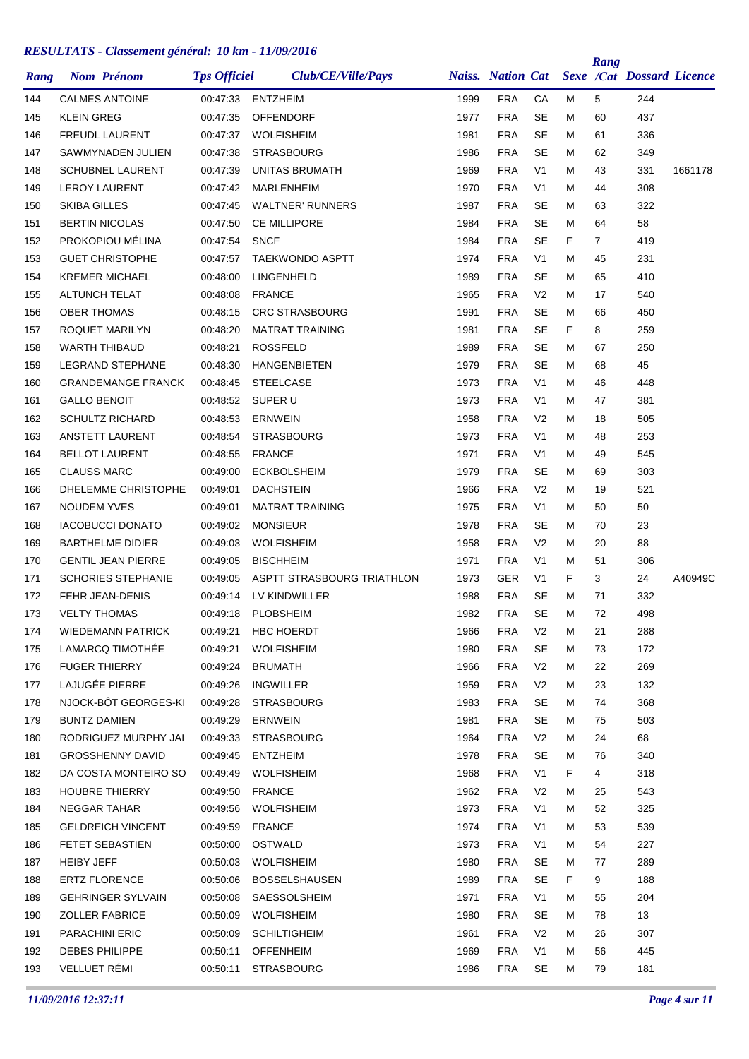|      | <b>Nom Prénom</b>         | <b>Tps Officiel</b> | Club/CE/Ville/Pays         |      | <b>Naiss. Nation Cat</b> |                |    | Rang | <b>Sexe /Cat Dossard Licence</b> |         |
|------|---------------------------|---------------------|----------------------------|------|--------------------------|----------------|----|------|----------------------------------|---------|
| Rang |                           |                     |                            |      |                          |                |    |      |                                  |         |
| 144  | <b>CALMES ANTOINE</b>     | 00:47:33            | <b>ENTZHEIM</b>            | 1999 | <b>FRA</b>               | СA             | М  | 5    | 244                              |         |
| 145  | <b>KLEIN GREG</b>         | 00:47:35            | <b>OFFENDORF</b>           | 1977 | <b>FRA</b>               | <b>SE</b>      | Μ  | 60   | 437                              |         |
| 146  | <b>FREUDL LAURENT</b>     | 00:47:37            | <b>WOLFISHEIM</b>          | 1981 | <b>FRA</b>               | <b>SE</b>      | М  | 61   | 336                              |         |
| 147  | SAWMYNADEN JULIEN         | 00:47:38            | <b>STRASBOURG</b>          | 1986 | <b>FRA</b>               | <b>SE</b>      | М  | 62   | 349                              |         |
| 148  | <b>SCHUBNEL LAURENT</b>   | 00:47:39            | UNITAS BRUMATH             | 1969 | <b>FRA</b>               | V <sub>1</sub> | М  | 43   | 331                              | 1661178 |
| 149  | <b>LEROY LAURENT</b>      | 00:47:42            | <b>MARLENHEIM</b>          | 1970 | <b>FRA</b>               | V <sub>1</sub> | М  | 44   | 308                              |         |
| 150  | <b>SKIBA GILLES</b>       | 00:47:45            | <b>WALTNER' RUNNERS</b>    | 1987 | <b>FRA</b>               | SE             | М  | 63   | 322                              |         |
| 151  | <b>BERTIN NICOLAS</b>     | 00:47:50            | <b>CE MILLIPORE</b>        | 1984 | <b>FRA</b>               | <b>SE</b>      | Μ  | 64   | 58                               |         |
| 152  | PROKOPIOU MÉLINA          | 00:47:54            | <b>SNCF</b>                | 1984 | <b>FRA</b>               | <b>SE</b>      | F  | 7    | 419                              |         |
| 153  | <b>GUET CHRISTOPHE</b>    | 00:47:57            | <b>TAEKWONDO ASPTT</b>     | 1974 | <b>FRA</b>               | V <sub>1</sub> | М  | 45   | 231                              |         |
| 154  | <b>KREMER MICHAEL</b>     | 00:48:00            | <b>LINGENHELD</b>          | 1989 | <b>FRA</b>               | <b>SE</b>      | М  | 65   | 410                              |         |
| 155  | <b>ALTUNCH TELAT</b>      | 00:48:08            | <b>FRANCE</b>              | 1965 | <b>FRA</b>               | V <sub>2</sub> | М  | 17   | 540                              |         |
| 156  | <b>OBER THOMAS</b>        | 00:48:15            | <b>CRC STRASBOURG</b>      | 1991 | <b>FRA</b>               | <b>SE</b>      | М  | 66   | 450                              |         |
| 157  | ROQUET MARILYN            | 00:48:20            | <b>MATRAT TRAINING</b>     | 1981 | <b>FRA</b>               | <b>SE</b>      | F  | 8    | 259                              |         |
| 158  | <b>WARTH THIBAUD</b>      | 00:48:21            | <b>ROSSFELD</b>            | 1989 | <b>FRA</b>               | <b>SE</b>      | М  | 67   | 250                              |         |
| 159  | <b>LEGRAND STEPHANE</b>   | 00:48:30            | <b>HANGENBIETEN</b>        | 1979 | <b>FRA</b>               | <b>SE</b>      | М  | 68   | 45                               |         |
| 160  | <b>GRANDEMANGE FRANCK</b> | 00:48:45            | <b>STEELCASE</b>           | 1973 | <b>FRA</b>               | V <sub>1</sub> | М  | 46   | 448                              |         |
| 161  | <b>GALLO BENOIT</b>       | 00:48:52            | SUPER U                    | 1973 | <b>FRA</b>               | V <sub>1</sub> | М  | 47   | 381                              |         |
| 162  | <b>SCHULTZ RICHARD</b>    | 00:48:53            | <b>ERNWEIN</b>             | 1958 | <b>FRA</b>               | V <sub>2</sub> | М  | 18   | 505                              |         |
| 163  | <b>ANSTETT LAURENT</b>    | 00:48:54            | <b>STRASBOURG</b>          | 1973 | <b>FRA</b>               | V <sub>1</sub> | М  | 48   | 253                              |         |
| 164  | <b>BELLOT LAURENT</b>     | 00:48:55            | <b>FRANCE</b>              | 1971 | <b>FRA</b>               | V <sub>1</sub> | М  | 49   | 545                              |         |
| 165  | <b>CLAUSS MARC</b>        | 00:49:00            | <b>ECKBOLSHEIM</b>         | 1979 | <b>FRA</b>               | SE             | М  | 69   | 303                              |         |
| 166  | DHELEMME CHRISTOPHE       | 00:49:01            | <b>DACHSTEIN</b>           | 1966 | <b>FRA</b>               | V <sub>2</sub> | м  | 19   | 521                              |         |
| 167  | <b>NOUDEM YVES</b>        | 00:49:01            | <b>MATRAT TRAINING</b>     | 1975 | <b>FRA</b>               | V <sub>1</sub> | М  | 50   | 50                               |         |
| 168  | <b>IACOBUCCI DONATO</b>   | 00:49:02            | <b>MONSIEUR</b>            | 1978 | <b>FRA</b>               | <b>SE</b>      | Μ  | 70   | 23                               |         |
| 169  | <b>BARTHELME DIDIER</b>   | 00:49:03            | <b>WOLFISHEIM</b>          | 1958 | <b>FRA</b>               | V <sub>2</sub> | М  | 20   | 88                               |         |
| 170  | <b>GENTIL JEAN PIERRE</b> | 00:49:05            | <b>BISCHHEIM</b>           | 1971 | <b>FRA</b>               | V <sub>1</sub> | М  | 51   | 306                              |         |
| 171  | <b>SCHORIES STEPHANIE</b> | 00:49:05            | ASPTT STRASBOURG TRIATHLON | 1973 | GER                      | V <sub>1</sub> | F  | 3    | 24                               | A40949C |
| 172  | FEHR JEAN-DENIS           | 00:49:14            | LV KINDWILLER              | 1988 | <b>FRA</b>               | SE             | М  | 71   | 332                              |         |
| 173  | <b>VELTY THOMAS</b>       | 00:49:18            | <b>PLOBSHEIM</b>           | 1982 | <b>FRA</b>               | <b>SE</b>      | М  | 72   | 498                              |         |
| 174  | <b>WIEDEMANN PATRICK</b>  | 00:49:21            | <b>HBC HOERDT</b>          | 1966 | <b>FRA</b>               | V <sub>2</sub> | Μ  | 21   | 288                              |         |
| 175  | LAMARCQ TIMOTHEE          | 00:49:21            | <b>WOLFISHEIM</b>          | 1980 | <b>FRA</b>               | <b>SE</b>      | M  | 73   | 172                              |         |
| 176  | <b>FUGER THIERRY</b>      | 00:49:24            | <b>BRUMATH</b>             | 1966 | FRA                      | V <sub>2</sub> | M  | 22   | 269                              |         |
| 177  | LAJUGÉE PIERRE            | 00:49:26            | INGWILLER                  | 1959 | <b>FRA</b>               | V <sub>2</sub> | Μ  | 23   | 132                              |         |
| 178  | NJOCK-BÔT GEORGES-KI      | 00:49:28            | <b>STRASBOURG</b>          | 1983 | <b>FRA</b>               | <b>SE</b>      | Μ  | 74   | 368                              |         |
| 179  | <b>BUNTZ DAMIEN</b>       | 00:49:29            | ERNWEIN                    | 1981 | <b>FRA</b>               | SE             | М  | 75   | 503                              |         |
| 180  | RODRIGUEZ MURPHY JAI      | 00:49:33            | <b>STRASBOURG</b>          | 1964 | <b>FRA</b>               | V <sub>2</sub> | М  | 24   | 68                               |         |
| 181  | <b>GROSSHENNY DAVID</b>   | 00:49:45            | <b>ENTZHEIM</b>            | 1978 | <b>FRA</b>               | <b>SE</b>      | М  | 76   | 340                              |         |
| 182  | DA COSTA MONTEIRO SO      | 00:49:49            | <b>WOLFISHEIM</b>          | 1968 | <b>FRA</b>               | V <sub>1</sub> | F. | 4    | 318                              |         |
| 183  | <b>HOUBRE THIERRY</b>     | 00:49:50            | <b>FRANCE</b>              | 1962 | <b>FRA</b>               | V <sub>2</sub> | М  | 25   | 543                              |         |
| 184  | <b>NEGGAR TAHAR</b>       | 00:49:56            | WOLFISHEIM                 | 1973 | <b>FRA</b>               | V <sub>1</sub> | Μ  | 52   | 325                              |         |
| 185  | <b>GELDREICH VINCENT</b>  | 00:49:59            | <b>FRANCE</b>              | 1974 | <b>FRA</b>               | V <sub>1</sub> | М  | 53   | 539                              |         |
| 186  | FETET SEBASTIEN           | 00:50:00            | OSTWALD                    | 1973 | FRA                      | V1             | М  | 54   | 227                              |         |
| 187  | <b>HEIBY JEFF</b>         | 00:50:03            | WOLFISHEIM                 | 1980 | <b>FRA</b>               | SE             | Μ  | 77   | 289                              |         |
| 188  | <b>ERTZ FLORENCE</b>      | 00:50:06            | <b>BOSSELSHAUSEN</b>       | 1989 | FRA                      | <b>SE</b>      | F. | 9    | 188                              |         |
| 189  | <b>GEHRINGER SYLVAIN</b>  | 00:50:08            | SAESSOLSHEIM               | 1971 | <b>FRA</b>               | V <sub>1</sub> | Μ  | 55   | 204                              |         |
| 190  | <b>ZOLLER FABRICE</b>     | 00:50:09            | WOLFISHEIM                 | 1980 | <b>FRA</b>               | <b>SE</b>      | Μ  | 78   | 13                               |         |
| 191  | <b>PARACHINI ERIC</b>     | 00:50:09            | <b>SCHILTIGHEIM</b>        | 1961 | <b>FRA</b>               | V <sub>2</sub> | м  | 26   | 307                              |         |
| 192  | <b>DEBES PHILIPPE</b>     | 00:50:11            | <b>OFFENHEIM</b>           | 1969 | <b>FRA</b>               | V <sub>1</sub> | М  | 56   | 445                              |         |
| 193  | VELLUET RÉMI              | 00:50:11            | <b>STRASBOURG</b>          | 1986 | <b>FRA</b>               | SE             | М  | 79   | 181                              |         |
|      |                           |                     |                            |      |                          |                |    |      |                                  |         |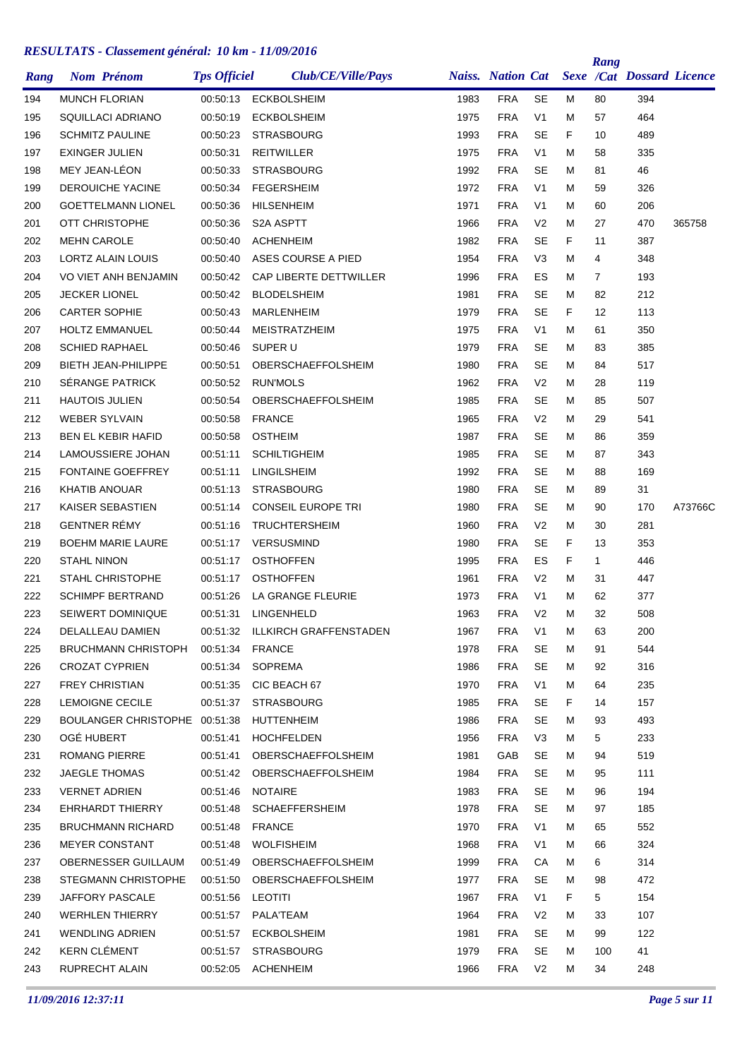| Rang | <b>Nom Prénom</b>             | <b>Tps Officiel</b> | Club/CE/Ville/Pays          |      | <b>Naiss. Nation Cat</b> |                |    | Rang              | <b>Sexe /Cat Dossard Licence</b> |         |
|------|-------------------------------|---------------------|-----------------------------|------|--------------------------|----------------|----|-------------------|----------------------------------|---------|
| 194  | <b>MUNCH FLORIAN</b>          | 00:50:13            | <b>ECKBOLSHEIM</b>          | 1983 | <b>FRA</b>               | <b>SE</b>      | М  | 80                | 394                              |         |
| 195  | SQUILLACI ADRIANO             | 00:50:19            | <b>ECKBOLSHEIM</b>          | 1975 | <b>FRA</b>               | V <sub>1</sub> | М  | 57                | 464                              |         |
| 196  | <b>SCHMITZ PAULINE</b>        | 00:50:23            | <b>STRASBOURG</b>           | 1993 | <b>FRA</b>               | <b>SE</b>      | F  | 10                | 489                              |         |
| 197  | <b>EXINGER JULIEN</b>         | 00:50:31            | <b>REITWILLER</b>           | 1975 | <b>FRA</b>               | V <sub>1</sub> | М  | 58                | 335                              |         |
| 198  | MEY JEAN-LÉON                 | 00:50:33            | <b>STRASBOURG</b>           | 1992 | <b>FRA</b>               | SE             | м  | 81                | 46                               |         |
| 199  | <b>DEROUICHE YACINE</b>       | 00:50:34            | <b>FEGERSHEIM</b>           | 1972 | <b>FRA</b>               | V <sub>1</sub> | м  | 59                | 326                              |         |
| 200  | <b>GOETTELMANN LIONEL</b>     | 00:50:36            | <b>HILSENHEIM</b>           | 1971 | <b>FRA</b>               | V <sub>1</sub> | М  | 60                | 206                              |         |
| 201  | OTT CHRISTOPHE                | 00:50:36            | S2A ASPTT                   | 1966 | <b>FRA</b>               | V <sub>2</sub> | М  | 27                | 470                              | 365758  |
| 202  | <b>MEHN CAROLE</b>            | 00:50:40            | <b>ACHENHEIM</b>            | 1982 | <b>FRA</b>               | <b>SE</b>      | F  | 11                | 387                              |         |
| 203  | LORTZ ALAIN LOUIS             | 00:50:40            | ASES COURSE A PIED          | 1954 | <b>FRA</b>               | V <sub>3</sub> | М  | 4                 | 348                              |         |
| 204  | VO VIET ANH BENJAMIN          | 00:50:42            | CAP LIBERTE DETTWILLER      | 1996 | <b>FRA</b>               | ES             | М  | 7                 | 193                              |         |
| 205  | <b>JECKER LIONEL</b>          | 00:50:42            | <b>BLODELSHEIM</b>          | 1981 | <b>FRA</b>               | SE             | М  | 82                | 212                              |         |
| 206  | <b>CARTER SOPHIE</b>          | 00:50:43            | <b>MARLENHEIM</b>           | 1979 | <b>FRA</b>               | <b>SE</b>      | F  | $12 \overline{ }$ | 113                              |         |
| 207  | <b>HOLTZ EMMANUEL</b>         | 00:50:44            | MEISTRATZHEIM               | 1975 | <b>FRA</b>               | V <sub>1</sub> | М  | 61                | 350                              |         |
| 208  | <b>SCHIED RAPHAEL</b>         | 00:50:46            | SUPER U                     | 1979 | <b>FRA</b>               | SE             | М  | 83                | 385                              |         |
| 209  | <b>BIETH JEAN-PHILIPPE</b>    | 00:50:51            | OBERSCHAEFFOLSHEIM          | 1980 | <b>FRA</b>               | <b>SE</b>      | М  | 84                | 517                              |         |
| 210  | SÉRANGE PATRICK               | 00:50:52            | <b>RUN'MOLS</b>             | 1962 | <b>FRA</b>               | V <sub>2</sub> | М  | 28                | 119                              |         |
| 211  | <b>HAUTOIS JULIEN</b>         | 00:50:54            | OBERSCHAEFFOLSHEIM          | 1985 | <b>FRA</b>               | <b>SE</b>      | М  | 85                | 507                              |         |
| 212  | <b>WEBER SYLVAIN</b>          | 00:50:58            | <b>FRANCE</b>               | 1965 | <b>FRA</b>               | V <sub>2</sub> | Μ  | 29                | 541                              |         |
| 213  | <b>BEN EL KEBIR HAFID</b>     | 00:50:58            | <b>OSTHEIM</b>              | 1987 | <b>FRA</b>               | SE             | М  | 86                | 359                              |         |
| 214  | LAMOUSSIERE JOHAN             | 00:51:11            | <b>SCHILTIGHEIM</b>         | 1985 | <b>FRA</b>               | <b>SE</b>      | М  | 87                | 343                              |         |
| 215  | <b>FONTAINE GOEFFREY</b>      | 00:51:11            | <b>LINGILSHEIM</b>          | 1992 | <b>FRA</b>               | SE             | м  | 88                | 169                              |         |
| 216  | KHATIB ANOUAR                 | 00:51:13            | <b>STRASBOURG</b>           | 1980 | <b>FRA</b>               | <b>SE</b>      | М  | 89                | 31                               |         |
| 217  | KAISER SEBASTIEN              | 00:51:14            | <b>CONSEIL EUROPE TRI</b>   | 1980 | <b>FRA</b>               | <b>SE</b>      | М  | 90                | 170                              | A73766C |
| 218  | <b>GENTNER RÉMY</b>           | 00:51:16            | <b>TRUCHTERSHEIM</b>        | 1960 | <b>FRA</b>               | V <sub>2</sub> | м  | 30                | 281                              |         |
| 219  | <b>BOEHM MARIE LAURE</b>      | 00:51:17            | <b>VERSUSMIND</b>           | 1980 | <b>FRA</b>               | <b>SE</b>      | F  | 13                | 353                              |         |
| 220  | <b>STAHL NINON</b>            | 00:51:17            | <b>OSTHOFFEN</b>            | 1995 | <b>FRA</b>               | ES             | F  | $\mathbf{1}$      | 446                              |         |
| 221  | <b>STAHL CHRISTOPHE</b>       | 00:51:17            | <b>OSTHOFFEN</b>            | 1961 | <b>FRA</b>               | V <sub>2</sub> | М  | 31                | 447                              |         |
| 222  | <b>SCHIMPF BERTRAND</b>       | 00:51:26            | LA GRANGE FLEURIE           | 1973 | <b>FRA</b>               | V <sub>1</sub> | м  | 62                | 377                              |         |
| 223  | <b>SEIWERT DOMINIQUE</b>      | 00:51:31            | LINGENHELD                  | 1963 | <b>FRA</b>               | V <sub>2</sub> | М  | 32                | 508                              |         |
| 224  | DELALLEAU DAMIEN              | 00:51:32            | ILLKIRCH GRAFFENSTADEN      | 1967 | <b>FRA</b>               | V1             | Μ  | 63                | 200                              |         |
| 225  | <b>BRUCHMANN CHRISTOPH</b>    | 00:51:34            | FRANCE                      | 1978 | <b>FRA</b>               | <b>SE</b>      | M  | 91                | 544                              |         |
| 226  | CROZAT CYPRIEN                | 00:51:34            | SOPREMA                     | 1986 | FRA                      | <b>SE</b>      | м  | 92                | 316                              |         |
| 227  | <b>FREY CHRISTIAN</b>         | 00:51:35            | CIC BEACH 67                | 1970 | <b>FRA</b>               | V <sub>1</sub> | М  | 64                | 235                              |         |
| 228  | <b>LEMOIGNE CECILE</b>        | 00:51:37            | <b>STRASBOURG</b>           | 1985 | <b>FRA</b>               | <b>SE</b>      | F. | 14                | 157                              |         |
| 229  | BOULANGER CHRISTOPHE 00:51:38 |                     | HUTTENHEIM                  | 1986 | <b>FRA</b>               | SE             | м  | 93                | 493                              |         |
| 230  | OGÉ HUBERT                    | 00:51:41            | <b>HOCHFELDEN</b>           | 1956 | <b>FRA</b>               | V <sub>3</sub> | М  | 5                 | 233                              |         |
| 231  | ROMANG PIERRE                 | 00:51:41            | OBERSCHAEFFOLSHEIM          | 1981 | GAB                      | <b>SE</b>      | м  | 94                | 519                              |         |
| 232  | <b>JAEGLE THOMAS</b>          |                     | 00:51:42 OBERSCHAEFFOLSHEIM | 1984 | <b>FRA</b>               | <b>SE</b>      | м  | 95                | 111                              |         |
| 233  | <b>VERNET ADRIEN</b>          | 00:51:46            | NOTAIRE                     | 1983 | <b>FRA</b>               | <b>SE</b>      | м  | 96                | 194                              |         |
| 234  | EHRHARDT THIERRY              | 00:51:48            | <b>SCHAEFFERSHEIM</b>       | 1978 | <b>FRA</b>               | <b>SE</b>      | м  | 97                | 185                              |         |
| 235  | <b>BRUCHMANN RICHARD</b>      | 00:51:48            | FRANCE                      | 1970 | <b>FRA</b>               | V <sub>1</sub> | м  | 65                | 552                              |         |
| 236  | <b>MEYER CONSTANT</b>         | 00:51:48            | WOLFISHEIM                  | 1968 | FRA                      | V <sub>1</sub> | м  | 66                | 324                              |         |
| 237  | OBERNESSER GUILLAUM           | 00:51:49            | OBERSCHAEFFOLSHEIM          | 1999 | <b>FRA</b>               | СA             | М  | 6                 | 314                              |         |
| 238  | <b>STEGMANN CHRISTOPHE</b>    | 00:51:50            | OBERSCHAEFFOLSHEIM          | 1977 | <b>FRA</b>               | <b>SE</b>      | м  | 98                | 472                              |         |
| 239  | JAFFORY PASCALE               | 00:51:56            | LEOTITI                     | 1967 | <b>FRA</b>               | V <sub>1</sub> | F. | 5                 | 154                              |         |
| 240  | <b>WERHLEN THIERRY</b>        | 00:51:57            | PALA'TEAM                   | 1964 | <b>FRA</b>               | V <sub>2</sub> | М  | 33                | 107                              |         |
| 241  | <b>WENDLING ADRIEN</b>        | 00:51:57            | <b>ECKBOLSHEIM</b>          | 1981 | <b>FRA</b>               | <b>SE</b>      | м  | 99                | 122                              |         |
| 242  | KERN CLÉMENT                  | 00:51:57            | <b>STRASBOURG</b>           | 1979 | <b>FRA</b>               | <b>SE</b>      | м  | 100               | 41                               |         |
| 243  | RUPRECHT ALAIN                |                     | 00:52:05 ACHENHEIM          | 1966 | <b>FRA</b>               | V <sub>2</sub> | м  | 34                | 248                              |         |
|      |                               |                     |                             |      |                          |                |    |                   |                                  |         |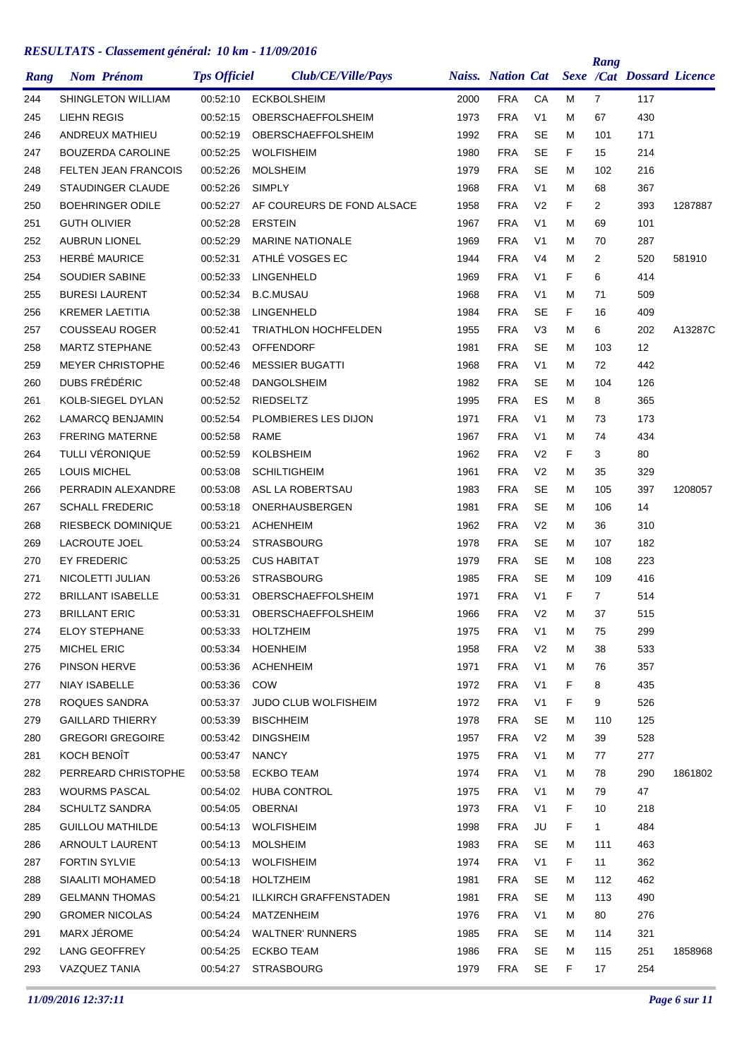| Rang | <b>Nom Prénom</b>           | <b>Tps Officiel</b> | Club/CE/Ville/Pays          |      | <b>Naiss.</b> Nation Cat |                |    | Rang           | <b>Sexe /Cat Dossard Licence</b> |         |
|------|-----------------------------|---------------------|-----------------------------|------|--------------------------|----------------|----|----------------|----------------------------------|---------|
| 244  | SHINGLETON WILLIAM          | 00:52:10            | <b>ECKBOLSHEIM</b>          | 2000 | <b>FRA</b>               | СA             | M  | $\overline{7}$ | 117                              |         |
| 245  | LIEHN REGIS                 | 00:52:15            | OBERSCHAEFFOLSHEIM          | 1973 | <b>FRA</b>               | V <sub>1</sub> | М  | 67             | 430                              |         |
| 246  | ANDREUX MATHIEU             | 00:52:19            | OBERSCHAEFFOLSHEIM          | 1992 | <b>FRA</b>               | <b>SE</b>      | м  | 101            | 171                              |         |
| 247  | <b>BOUZERDA CAROLINE</b>    | 00:52:25            | <b>WOLFISHEIM</b>           | 1980 | <b>FRA</b>               | <b>SE</b>      | F. | 15             | 214                              |         |
| 248  | <b>FELTEN JEAN FRANCOIS</b> | 00:52:26            | <b>MOLSHEIM</b>             | 1979 | <b>FRA</b>               | <b>SE</b>      | м  | 102            | 216                              |         |
| 249  | STAUDINGER CLAUDE           | 00:52:26            | <b>SIMPLY</b>               | 1968 | <b>FRA</b>               | V <sub>1</sub> | м  | 68             | 367                              |         |
| 250  | <b>BOEHRINGER ODILE</b>     | 00:52:27            | AF COUREURS DE FOND ALSACE  | 1958 | <b>FRA</b>               | V <sub>2</sub> | F  | 2              | 393                              | 1287887 |
| 251  | <b>GUTH OLIVIER</b>         | 00:52:28            | <b>ERSTEIN</b>              | 1967 | <b>FRA</b>               | V <sub>1</sub> | М  | 69             | 101                              |         |
| 252  | <b>AUBRUN LIONEL</b>        | 00:52:29            | <b>MARINE NATIONALE</b>     | 1969 | <b>FRA</b>               | V <sub>1</sub> | м  | 70             | 287                              |         |
| 253  | <b>HERBÉ MAURICE</b>        | 00:52:31            | ATHLÉ VOSGES EC             | 1944 | <b>FRA</b>               | V <sub>4</sub> | м  | 2              | 520                              | 581910  |
| 254  | SOUDIER SABINE              | 00:52:33            | LINGENHELD                  | 1969 | <b>FRA</b>               | V <sub>1</sub> | F  | 6              | 414                              |         |
| 255  | <b>BURESI LAURENT</b>       | 00:52:34            | <b>B.C.MUSAU</b>            | 1968 | <b>FRA</b>               | V1             | М  | 71             | 509                              |         |
| 256  | <b>KREMER LAETITIA</b>      | 00:52:38            | LINGENHELD                  | 1984 | <b>FRA</b>               | <b>SE</b>      | F  | 16             | 409                              |         |
| 257  | <b>COUSSEAU ROGER</b>       | 00:52:41            | <b>TRIATHLON HOCHFELDEN</b> | 1955 | <b>FRA</b>               | V3             | м  | 6              | 202                              | A13287C |
| 258  | <b>MARTZ STEPHANE</b>       | 00:52:43            | <b>OFFENDORF</b>            | 1981 | <b>FRA</b>               | <b>SE</b>      | М  | 103            | $12 \overline{ }$                |         |
| 259  | <b>MEYER CHRISTOPHE</b>     | 00:52:46            | <b>MESSIER BUGATTI</b>      | 1968 | <b>FRA</b>               | V <sub>1</sub> | м  | 72             | 442                              |         |
| 260  | DUBS FRÉDÉRIC               | 00:52:48            | <b>DANGOLSHEIM</b>          | 1982 | <b>FRA</b>               | SE             | м  | 104            | 126                              |         |
| 261  | KOLB-SIEGEL DYLAN           | 00:52:52            | <b>RIEDSELTZ</b>            | 1995 | <b>FRA</b>               | ES             | м  | 8              | 365                              |         |
| 262  | <b>LAMARCQ BENJAMIN</b>     | 00:52:54            | PLOMBIERES LES DIJON        | 1971 | <b>FRA</b>               | V <sub>1</sub> | м  | 73             | 173                              |         |
| 263  | <b>FRERING MATERNE</b>      | 00:52:58            | RAME                        | 1967 | <b>FRA</b>               | V <sub>1</sub> | М  | 74             | 434                              |         |
| 264  | TULLI VÉRONIQUE             | 00:52:59            | <b>KOLBSHEIM</b>            | 1962 | <b>FRA</b>               | V <sub>2</sub> | F  | 3              | 80                               |         |
| 265  | <b>LOUIS MICHEL</b>         | 00:53:08            | <b>SCHILTIGHEIM</b>         | 1961 | <b>FRA</b>               | V <sub>2</sub> | М  | 35             | 329                              |         |
| 266  | PERRADIN ALEXANDRE          | 00:53:08            | ASL LA ROBERTSAU            | 1983 | <b>FRA</b>               | <b>SE</b>      | м  | 105            | 397                              | 1208057 |
| 267  | <b>SCHALL FREDERIC</b>      | 00:53:18            | ONERHAUSBERGEN              | 1981 | <b>FRA</b>               | <b>SE</b>      | м  | 106            | 14                               |         |
| 268  | <b>RIESBECK DOMINIQUE</b>   | 00:53:21            | <b>ACHENHEIM</b>            | 1962 | <b>FRA</b>               | V <sub>2</sub> | м  | 36             | 310                              |         |
| 269  | LACROUTE JOEL               | 00:53:24            | <b>STRASBOURG</b>           | 1978 | <b>FRA</b>               | <b>SE</b>      | м  | 107            | 182                              |         |
| 270  | <b>EY FREDERIC</b>          | 00:53:25            | <b>CUS HABITAT</b>          | 1979 | <b>FRA</b>               | <b>SE</b>      | М  | 108            | 223                              |         |
| 271  | NICOLETTI JULIAN            | 00:53:26            | <b>STRASBOURG</b>           | 1985 | <b>FRA</b>               | <b>SE</b>      | м  | 109            | 416                              |         |
| 272  | <b>BRILLANT ISABELLE</b>    | 00:53:31            | <b>OBERSCHAEFFOLSHEIM</b>   | 1971 | <b>FRA</b>               | V1             | F  | 7              | 514                              |         |
| 273  | <b>BRILLANT ERIC</b>        | 00:53:31            | OBERSCHAEFFOLSHEIM          | 1966 | <b>FRA</b>               | V <sub>2</sub> | М  | 37             | 515                              |         |
| 274  | ELOY STEPHANE               | 00:53:33            | <b>HOLTZHEIM</b>            | 1975 | <b>FRA</b>               | V1             | M  | 75             | 299                              |         |
| 275  | <b>MICHEL ERIC</b>          | 00:53:34            | <b>HOENHEIM</b>             | 1958 | <b>FRA</b>               | V <sub>2</sub> | Μ  | 38             | 533                              |         |
| 276  | PINSON HERVE                |                     | 00:53:36 ACHENHEIM          | 1971 | <b>FRA</b>               | V <sub>1</sub> | M  | 76             | 357                              |         |
| 277  | NIAY ISABELLE               | 00:53:36            | COW                         | 1972 | <b>FRA</b>               | V <sub>1</sub> | F  | 8              | 435                              |         |
| 278  | ROQUES SANDRA               | 00:53:37            | <b>JUDO CLUB WOLFISHEIM</b> | 1972 | <b>FRA</b>               | V <sub>1</sub> | F. | 9              | 526                              |         |
| 279  | <b>GAILLARD THIERRY</b>     | 00:53:39            | <b>BISCHHEIM</b>            | 1978 | <b>FRA</b>               | <b>SE</b>      | М  | 110            | 125                              |         |
| 280  | <b>GREGORI GREGOIRE</b>     | 00:53:42            | <b>DINGSHEIM</b>            | 1957 | <b>FRA</b>               | V <sub>2</sub> | м  | 39             | 528                              |         |
| 281  | KOCH BENOÎT                 | 00:53:47            | <b>NANCY</b>                | 1975 | <b>FRA</b>               | V <sub>1</sub> | М  | 77             | 277                              |         |
| 282  | PERREARD CHRISTOPHE         | 00:53:58            | ECKBO TEAM                  | 1974 | <b>FRA</b>               | V <sub>1</sub> | M  | 78             | 290                              | 1861802 |
| 283  | WOURMS PASCAL               | 00:54:02            | <b>HUBA CONTROL</b>         | 1975 | <b>FRA</b>               | V <sub>1</sub> | М  | 79             | 47                               |         |
| 284  | <b>SCHULTZ SANDRA</b>       | 00:54:05            | <b>OBERNAI</b>              | 1973 | <b>FRA</b>               | V <sub>1</sub> | F. | 10             | 218                              |         |
| 285  | <b>GUILLOU MATHILDE</b>     | 00:54:13            | <b>WOLFISHEIM</b>           | 1998 | <b>FRA</b>               | JU             | F. | $\mathbf{1}$   | 484                              |         |
| 286  | ARNOULT LAURENT             | 00:54:13            | <b>MOLSHEIM</b>             | 1983 | <b>FRA</b>               | <b>SE</b>      | М  | 111            | 463                              |         |
| 287  | <b>FORTIN SYLVIE</b>        | 00:54:13            | <b>WOLFISHEIM</b>           | 1974 | <b>FRA</b>               | V1             | F. | 11             | 362                              |         |
| 288  | SIAALITI MOHAMED            | 00:54:18            | HOLTZHEIM                   | 1981 | <b>FRA</b>               | SE             | M  | 112            | 462                              |         |
| 289  | <b>GELMANN THOMAS</b>       | 00:54:21            | ILLKIRCH GRAFFENSTADEN      | 1981 | <b>FRA</b>               | <b>SE</b>      | М  | 113            | 490                              |         |
| 290  | <b>GROMER NICOLAS</b>       | 00:54:24            | MATZENHEIM                  | 1976 | <b>FRA</b>               | V <sub>1</sub> | M  | 80             | 276                              |         |
| 291  | MARX JÉROME                 | 00:54:24            | <b>WALTNER' RUNNERS</b>     | 1985 | <b>FRA</b>               | SE             | м  | 114            | 321                              |         |
| 292  | LANG GEOFFREY               | 00:54:25            | <b>ECKBO TEAM</b>           | 1986 | <b>FRA</b>               | <b>SE</b>      | M  | 115            | 251                              | 1858968 |
| 293  | VAZQUEZ TANIA               | 00:54:27            | STRASBOURG                  | 1979 | <b>FRA</b>               | SE             | F  | 17             | 254                              |         |
|      |                             |                     |                             |      |                          |                |    |                |                                  |         |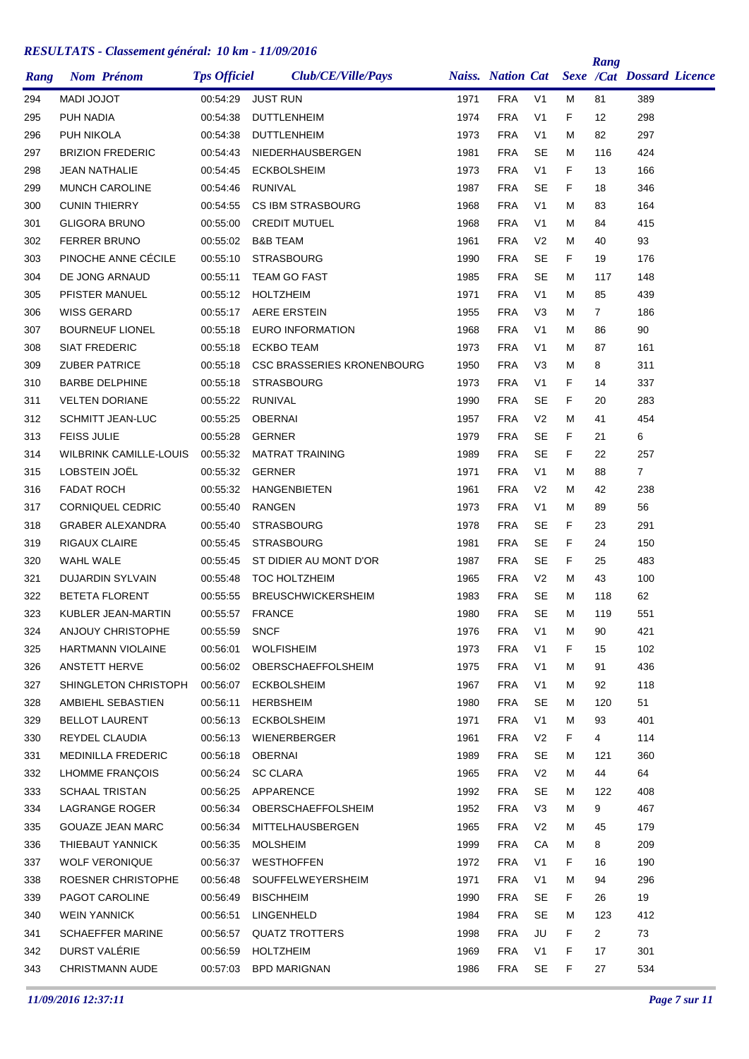| Rang | <b>Nom Prénom</b>             | <b>Tps Officiel</b> | Club/CE/Ville/Pays                |      | <b>Naiss.</b> Nation Cat |                |    | Rang           | <b>Sexe /Cat Dossard Licence</b> |  |
|------|-------------------------------|---------------------|-----------------------------------|------|--------------------------|----------------|----|----------------|----------------------------------|--|
| 294  | <b>MADI JOJOT</b>             | 00:54:29            | <b>JUST RUN</b>                   | 1971 | <b>FRA</b>               | V <sub>1</sub> | м  | 81             | 389                              |  |
| 295  | PUH NADIA                     | 00:54:38            | <b>DUTTLENHEIM</b>                | 1974 | <b>FRA</b>               | V <sub>1</sub> | F  | 12             | 298                              |  |
| 296  | PUH NIKOLA                    | 00:54:38            | <b>DUTTLENHEIM</b>                | 1973 | <b>FRA</b>               | V <sub>1</sub> | м  | 82             | 297                              |  |
| 297  | <b>BRIZION FREDERIC</b>       | 00:54:43            | NIEDERHAUSBERGEN                  | 1981 | <b>FRA</b>               | <b>SE</b>      | м  | 116            | 424                              |  |
| 298  | <b>JEAN NATHALIE</b>          | 00:54:45            | <b>ECKBOLSHEIM</b>                | 1973 | <b>FRA</b>               | V <sub>1</sub> | F  | 13             | 166                              |  |
| 299  | <b>MUNCH CAROLINE</b>         | 00:54:46            | <b>RUNIVAL</b>                    | 1987 | <b>FRA</b>               | SE             | F  | 18             | 346                              |  |
| 300  | <b>CUNIN THIERRY</b>          | 00:54:55            | <b>CS IBM STRASBOURG</b>          | 1968 | <b>FRA</b>               | V <sub>1</sub> | м  | 83             | 164                              |  |
| 301  | <b>GLIGORA BRUNO</b>          | 00:55:00            | <b>CREDIT MUTUEL</b>              | 1968 | <b>FRA</b>               | V <sub>1</sub> | м  | 84             | 415                              |  |
| 302  | <b>FERRER BRUNO</b>           | 00:55:02            | <b>B&amp;B TEAM</b>               | 1961 | <b>FRA</b>               | V <sub>2</sub> | м  | 40             | 93                               |  |
| 303  | PINOCHE ANNE CÉCILE           | 00:55:10            | <b>STRASBOURG</b>                 | 1990 | <b>FRA</b>               | SE             | F. | 19             | 176                              |  |
| 304  | DE JONG ARNAUD                | 00:55:11            | <b>TEAM GO FAST</b>               | 1985 | <b>FRA</b>               | <b>SE</b>      | м  | 117            | 148                              |  |
| 305  | PFISTER MANUEL                | 00:55:12            | <b>HOLTZHEIM</b>                  | 1971 | <b>FRA</b>               | V <sub>1</sub> | м  | 85             | 439                              |  |
| 306  | WISS GERARD                   | 00:55:17            | <b>AERE ERSTEIN</b>               | 1955 | <b>FRA</b>               | V <sub>3</sub> | м  | $\overline{7}$ | 186                              |  |
| 307  | <b>BOURNEUF LIONEL</b>        | 00:55:18            | EURO INFORMATION                  | 1968 | <b>FRA</b>               | V <sub>1</sub> | м  | 86             | 90                               |  |
| 308  | <b>SIAT FREDERIC</b>          | 00:55:18            | <b>ECKBO TEAM</b>                 | 1973 | <b>FRA</b>               | V <sub>1</sub> | м  | 87             | 161                              |  |
| 309  | <b>ZUBER PATRICE</b>          | 00:55:18            | <b>CSC BRASSERIES KRONENBOURG</b> | 1950 | <b>FRA</b>               | V <sub>3</sub> | м  | 8              | 311                              |  |
| 310  | <b>BARBE DELPHINE</b>         | 00:55:18            | <b>STRASBOURG</b>                 | 1973 | <b>FRA</b>               | V <sub>1</sub> | F  | 14             | 337                              |  |
| 311  | <b>VELTEN DORIANE</b>         | 00:55:22            | <b>RUNIVAL</b>                    | 1990 | <b>FRA</b>               | SE             | F  | 20             | 283                              |  |
| 312  | <b>SCHMITT JEAN-LUC</b>       | 00:55:25            | <b>OBERNAI</b>                    | 1957 | <b>FRA</b>               | V <sub>2</sub> | м  | 41             | 454                              |  |
| 313  | <b>FEISS JULIE</b>            | 00:55:28            | <b>GERNER</b>                     | 1979 | <b>FRA</b>               | SE             | F  | 21             | 6                                |  |
| 314  | <b>WILBRINK CAMILLE-LOUIS</b> | 00:55:32            | <b>MATRAT TRAINING</b>            | 1989 | <b>FRA</b>               | <b>SE</b>      | F  | 22             | 257                              |  |
| 315  | LOBSTEIN JOËL                 | 00:55:32            | <b>GERNER</b>                     | 1971 | <b>FRA</b>               | V <sub>1</sub> | м  | 88             | 7                                |  |
| 316  | <b>FADAT ROCH</b>             | 00:55:32            | <b>HANGENBIETEN</b>               | 1961 | <b>FRA</b>               | V <sub>2</sub> | м  | 42             | 238                              |  |
| 317  | <b>CORNIQUEL CEDRIC</b>       | 00:55:40            | <b>RANGEN</b>                     | 1973 | <b>FRA</b>               | V <sub>1</sub> | м  | 89             | 56                               |  |
| 318  | <b>GRABER ALEXANDRA</b>       | 00:55:40            | <b>STRASBOURG</b>                 | 1978 | <b>FRA</b>               | SE             | F  | 23             | 291                              |  |
| 319  | <b>RIGAUX CLAIRE</b>          | 00:55:45            | <b>STRASBOURG</b>                 | 1981 | <b>FRA</b>               | <b>SE</b>      | F  | 24             | 150                              |  |
| 320  | WAHL WALE                     | 00:55:45            | ST DIDIER AU MONT D'OR            | 1987 | <b>FRA</b>               | <b>SE</b>      | F  | 25             | 483                              |  |
| 321  | <b>DUJARDIN SYLVAIN</b>       | 00:55:48            | <b>TOC HOLTZHEIM</b>              | 1965 | <b>FRA</b>               | V <sub>2</sub> | м  | 43             | 100                              |  |
| 322  | <b>BETETA FLORENT</b>         | 00:55:55            | <b>BREUSCHWICKERSHEIM</b>         | 1983 | <b>FRA</b>               | SE             | м  | 118            | 62                               |  |
| 323  | KUBLER JEAN-MARTIN            | 00:55:57            | <b>FRANCE</b>                     | 1980 | <b>FRA</b>               | <b>SE</b>      | м  | 119            | 551                              |  |
| 324  | ANJOUY CHRISTOPHE             | 00:55:59            | <b>SNCF</b>                       | 1976 | <b>FRA</b>               | V <sub>1</sub> | м  | 90             | 421                              |  |
| 325  | HARTMANN VIOLAINE             | 00:56:01            | <b>WOLFISHEIM</b>                 | 1973 | <b>FRA</b>               | V <sub>1</sub> | F. | 15             | 102                              |  |
| 326  | ANSTETT HERVE                 |                     | 00:56:02 OBERSCHAEFFOLSHEIM       | 1975 | <b>FRA</b>               | V <sub>1</sub> | м  | 91             | 436                              |  |
| 327  | SHINGLETON CHRISTOPH          | 00:56:07            | <b>ECKBOLSHEIM</b>                | 1967 | <b>FRA</b>               | V <sub>1</sub> | м  | 92             | 118                              |  |
| 328  | AMBIEHL SEBASTIEN             | 00:56:11            | <b>HERBSHEIM</b>                  | 1980 | <b>FRA</b>               | SE             | м  | 120            | 51                               |  |
| 329  | <b>BELLOT LAURENT</b>         | 00:56:13            | <b>ECKBOLSHEIM</b>                | 1971 | <b>FRA</b>               | V <sub>1</sub> | м  | 93             | 401                              |  |
| 330  | REYDEL CLAUDIA                | 00:56:13            | WIENERBERGER                      | 1961 | <b>FRA</b>               | V <sub>2</sub> | F. | 4              | 114                              |  |
| 331  | <b>MEDINILLA FREDERIC</b>     | 00:56:18            | <b>OBERNAI</b>                    | 1989 | <b>FRA</b>               | SE             | м  | 121            | 360                              |  |
| 332  | <b>LHOMME FRANÇOIS</b>        | 00:56:24            | SC CLARA                          | 1965 | <b>FRA</b>               | V <sub>2</sub> | м  | 44             | 64                               |  |
| 333  | <b>SCHAAL TRISTAN</b>         | 00:56:25            | APPARENCE                         | 1992 | <b>FRA</b>               | SE             | м  | 122            | 408                              |  |
| 334  | LAGRANGE ROGER                | 00:56:34            | OBERSCHAEFFOLSHEIM                | 1952 | <b>FRA</b>               | V <sub>3</sub> | М  | 9              | 467                              |  |
| 335  | GOUAZE JEAN MARC              | 00:56:34            | MITTELHAUSBERGEN                  | 1965 | <b>FRA</b>               | V <sub>2</sub> | м  | 45             | 179                              |  |
| 336  | THIEBAUT YANNICK              | 00:56:35            | <b>MOLSHEIM</b>                   | 1999 | <b>FRA</b>               | CA             | М  | 8              | 209                              |  |
| 337  | <b>WOLF VERONIQUE</b>         | 00:56:37            | WESTHOFFEN                        | 1972 | FRA                      | V1             | F. | 16             | 190                              |  |
| 338  | ROESNER CHRISTOPHE            | 00:56:48            | SOUFFELWEYERSHEIM                 | 1971 | <b>FRA</b>               | V <sub>1</sub> | м  | 94             | 296                              |  |
| 339  | PAGOT CAROLINE                | 00:56:49            | <b>BISCHHEIM</b>                  | 1990 | <b>FRA</b>               | SE             | F. | 26             | 19                               |  |
| 340  | <b>WEIN YANNICK</b>           | 00:56:51            | LINGENHELD                        | 1984 | <b>FRA</b>               | SE             | м  | 123            | 412                              |  |
| 341  | <b>SCHAEFFER MARINE</b>       | 00:56:57            | <b>QUATZ TROTTERS</b>             | 1998 | <b>FRA</b>               | JU             | F. | $\overline{2}$ | 73                               |  |
| 342  | DURST VALÉRIE                 | 00:56:59            | <b>HOLTZHEIM</b>                  | 1969 | <b>FRA</b>               | V <sub>1</sub> | F. | 17             | 301                              |  |
| 343  | <b>CHRISTMANN AUDE</b>        | 00:57:03            | <b>BPD MARIGNAN</b>               | 1986 | <b>FRA</b>               | SE             | F  | 27             | 534                              |  |
|      |                               |                     |                                   |      |                          |                |    |                |                                  |  |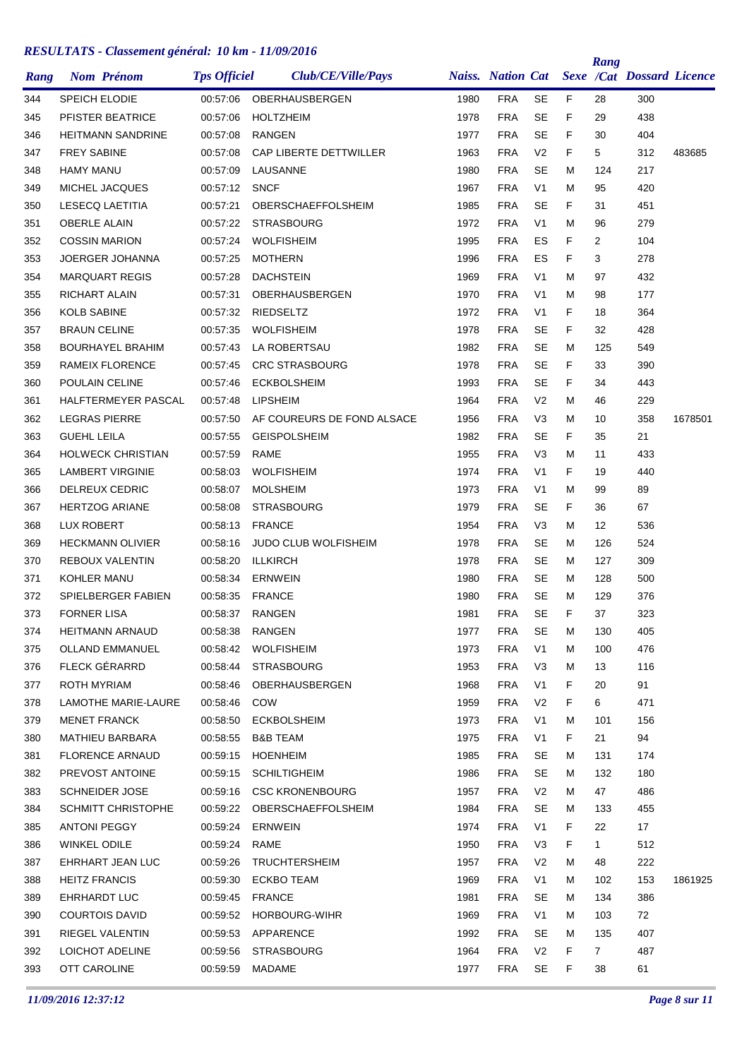|      |                           |                     |                            |      |                          |                |    | Rang           |                           |         |
|------|---------------------------|---------------------|----------------------------|------|--------------------------|----------------|----|----------------|---------------------------|---------|
| Rang | <b>Nom Prénom</b>         | <b>Tps Officiel</b> | Club/CE/Ville/Pays         |      | <b>Naiss.</b> Nation Cat |                |    |                | Sexe /Cat Dossard Licence |         |
| 344  | <b>SPEICH ELODIE</b>      | 00:57:06            | OBERHAUSBERGEN             | 1980 | <b>FRA</b>               | <b>SE</b>      | F  | 28             | 300                       |         |
| 345  | PFISTER BEATRICE          | 00:57:06            | <b>HOLTZHEIM</b>           | 1978 | <b>FRA</b>               | <b>SE</b>      | F  | 29             | 438                       |         |
| 346  | <b>HEITMANN SANDRINE</b>  | 00:57:08            | <b>RANGEN</b>              | 1977 | <b>FRA</b>               | <b>SE</b>      | F  | 30             | 404                       |         |
| 347  | <b>FREY SABINE</b>        | 00:57:08            | CAP LIBERTE DETTWILLER     | 1963 | <b>FRA</b>               | V <sub>2</sub> | F. | 5              | 312                       | 483685  |
| 348  | <b>HAMY MANU</b>          | 00:57:09            | LAUSANNE                   | 1980 | <b>FRA</b>               | <b>SE</b>      | М  | 124            | 217                       |         |
| 349  | MICHEL JACQUES            | 00:57:12            | <b>SNCF</b>                | 1967 | <b>FRA</b>               | V <sub>1</sub> | М  | 95             | 420                       |         |
| 350  | LESECQ LAETITIA           | 00:57:21            | OBERSCHAEFFOLSHEIM         | 1985 | <b>FRA</b>               | SE             | F  | 31             | 451                       |         |
| 351  | <b>OBERLE ALAIN</b>       | 00:57:22            | <b>STRASBOURG</b>          | 1972 | <b>FRA</b>               | V <sub>1</sub> | М  | 96             | 279                       |         |
| 352  | <b>COSSIN MARION</b>      | 00:57:24            | <b>WOLFISHEIM</b>          | 1995 | <b>FRA</b>               | ES             | F  | $\overline{2}$ | 104                       |         |
| 353  | JOERGER JOHANNA           | 00:57:25            | <b>MOTHERN</b>             | 1996 | <b>FRA</b>               | ES             | F  | 3              | 278                       |         |
| 354  | <b>MARQUART REGIS</b>     | 00:57:28            | <b>DACHSTEIN</b>           | 1969 | <b>FRA</b>               | V <sub>1</sub> | М  | 97             | 432                       |         |
| 355  | <b>RICHART ALAIN</b>      | 00:57:31            | OBERHAUSBERGEN             | 1970 | <b>FRA</b>               | V <sub>1</sub> | М  | 98             | 177                       |         |
| 356  | <b>KOLB SABINE</b>        | 00:57:32            | RIEDSELTZ                  | 1972 | <b>FRA</b>               | V1             | F  | 18             | 364                       |         |
| 357  | <b>BRAUN CELINE</b>       | 00:57:35            | <b>WOLFISHEIM</b>          | 1978 | <b>FRA</b>               | SE             | F  | 32             | 428                       |         |
| 358  | <b>BOURHAYEL BRAHIM</b>   | 00:57:43            | LA ROBERTSAU               | 1982 | <b>FRA</b>               | <b>SE</b>      | М  | 125            | 549                       |         |
| 359  | RAMEIX FLORENCE           | 00:57:45            | <b>CRC STRASBOURG</b>      | 1978 | <b>FRA</b>               | SE             | F  | 33             | 390                       |         |
| 360  | POULAIN CELINE            | 00:57:46            | <b>ECKBOLSHEIM</b>         | 1993 | <b>FRA</b>               | <b>SE</b>      | F  | 34             | 443                       |         |
| 361  | HALFTERMEYER PASCAL       | 00:57:48            | LIPSHEIM                   | 1964 | <b>FRA</b>               | V <sub>2</sub> | М  | 46             | 229                       |         |
| 362  | <b>LEGRAS PIERRE</b>      | 00:57:50            | AF COUREURS DE FOND ALSACE | 1956 | <b>FRA</b>               | V <sub>3</sub> | М  | 10             | 358                       | 1678501 |
| 363  | <b>GUEHL LEILA</b>        | 00:57:55            | <b>GEISPOLSHEIM</b>        | 1982 | <b>FRA</b>               | SE             | F  | 35             | 21                        |         |
| 364  | <b>HOLWECK CHRISTIAN</b>  | 00:57:59            | RAME                       | 1955 | <b>FRA</b>               | V <sub>3</sub> | М  | 11             | 433                       |         |
| 365  | <b>LAMBERT VIRGINIE</b>   | 00:58:03            | <b>WOLFISHEIM</b>          | 1974 | <b>FRA</b>               | V <sub>1</sub> | F  | 19             | 440                       |         |
| 366  | <b>DELREUX CEDRIC</b>     | 00:58:07            | <b>MOLSHEIM</b>            | 1973 | <b>FRA</b>               | V <sub>1</sub> | М  | 99             | 89                        |         |
| 367  | <b>HERTZOG ARIANE</b>     | 00:58:08            | <b>STRASBOURG</b>          | 1979 | <b>FRA</b>               | SE             | F  | 36             | 67                        |         |
| 368  | <b>LUX ROBERT</b>         | 00:58:13            | <b>FRANCE</b>              | 1954 | <b>FRA</b>               | V <sub>3</sub> | М  | 12             | 536                       |         |
| 369  | <b>HECKMANN OLIVIER</b>   | 00:58:16            | JUDO CLUB WOLFISHEIM       | 1978 | <b>FRA</b>               | SE             | М  | 126            | 524                       |         |
| 370  | REBOUX VALENTIN           | 00:58:20            | <b>ILLKIRCH</b>            | 1978 | <b>FRA</b>               | <b>SE</b>      | м  | 127            | 309                       |         |
| 371  | KOHLER MANU               | 00:58:34            | <b>ERNWEIN</b>             | 1980 | <b>FRA</b>               | SE             | м  | 128            | 500                       |         |
| 372  | SPIELBERGER FABIEN        | 00:58:35            | <b>FRANCE</b>              | 1980 | <b>FRA</b>               | <b>SE</b>      | М  | 129            | 376                       |         |
| 373  | <b>FORNER LISA</b>        | 00:58:37            | <b>RANGEN</b>              | 1981 | FRA                      | <b>SE</b>      | F  | 37             | 323                       |         |
| 374  | <b>HEITMANN ARNAUD</b>    | 00:58:38            | RANGEN                     | 1977 | <b>FRA</b>               | <b>SE</b>      | M  | 130            | 405                       |         |
| 375  | <b>OLLAND EMMANUEL</b>    | 00:58:42            | WOLFISHEIM                 | 1973 | <b>FRA</b>               | V <sub>1</sub> | М  | 100            | 476                       |         |
| 376  | FLECK GÉRARRD             |                     | 00:58:44 STRASBOURG        | 1953 | <b>FRA</b>               | V3             | M  | 13             | 116                       |         |
| 377  | <b>ROTH MYRIAM</b>        | 00:58:46            | OBERHAUSBERGEN             | 1968 | <b>FRA</b>               | V <sub>1</sub> | F. | 20             | 91                        |         |
| 378  | LAMOTHE MARIE-LAURE       | 00:58:46            | COW                        | 1959 | <b>FRA</b>               | V <sub>2</sub> | F. | 6              | 471                       |         |
| 379  | <b>MENET FRANCK</b>       | 00:58:50            | <b>ECKBOLSHEIM</b>         | 1973 | <b>FRA</b>               | V <sub>1</sub> | Μ  | 101            | 156                       |         |
| 380  | MATHIEU BARBARA           | 00:58:55            | <b>B&amp;B TEAM</b>        | 1975 | <b>FRA</b>               | V <sub>1</sub> | F. | 21             | 94                        |         |
| 381  | <b>FLORENCE ARNAUD</b>    | 00:59:15            | HOENHEIM                   | 1985 | <b>FRA</b>               | SE             | M  | 131            | 174                       |         |
| 382  | PREVOST ANTOINE           | 00:59:15            | SCHILTIGHEIM               | 1986 | <b>FRA</b>               | SE             | М  | 132            | 180                       |         |
| 383  | <b>SCHNEIDER JOSE</b>     | 00:59:16            | <b>CSC KRONENBOURG</b>     | 1957 | <b>FRA</b>               | V <sub>2</sub> | М  | 47             | 486                       |         |
| 384  | <b>SCHMITT CHRISTOPHE</b> | 00:59:22            | OBERSCHAEFFOLSHEIM         | 1984 | <b>FRA</b>               | SE             | M  | 133            | 455                       |         |
| 385  | ANTONI PEGGY              | 00:59:24            | <b>ERNWEIN</b>             | 1974 | <b>FRA</b>               | V <sub>1</sub> | F. | 22             | 17                        |         |
| 386  | WINKEL ODILE              | 00:59:24            | RAME                       | 1950 | <b>FRA</b>               | V <sub>3</sub> | F. | $\mathbf{1}$   | 512                       |         |
| 387  | EHRHART JEAN LUC          |                     | 00:59:26 TRUCHTERSHEIM     | 1957 | <b>FRA</b>               | V <sub>2</sub> | м  | 48             | 222                       |         |
| 388  | <b>HEITZ FRANCIS</b>      | 00:59:30            | ECKBO TEAM                 | 1969 | <b>FRA</b>               | V1             | M  | 102            | 153                       | 1861925 |
| 389  | EHRHARDT LUC              | 00:59:45            | <b>FRANCE</b>              | 1981 | <b>FRA</b>               | SE             | М  | 134            | 386                       |         |
| 390  | <b>COURTOIS DAVID</b>     |                     | 00:59:52 HORBOURG-WIHR     | 1969 | <b>FRA</b>               | V <sub>1</sub> | м  | 103            | 72                        |         |
| 391  | RIEGEL VALENTIN           |                     | 00:59:53 APPARENCE         | 1992 | <b>FRA</b>               | SE             | м  | 135            | 407                       |         |
| 392  | LOICHOT ADELINE           |                     | 00:59:56 STRASBOURG        | 1964 | <b>FRA</b>               | V <sub>2</sub> | F. | $7^{\circ}$    | 487                       |         |
| 393  | OTT CAROLINE              | 00:59:59            | MADAME                     | 1977 | <b>FRA</b>               | SE             | F. | 38             | 61                        |         |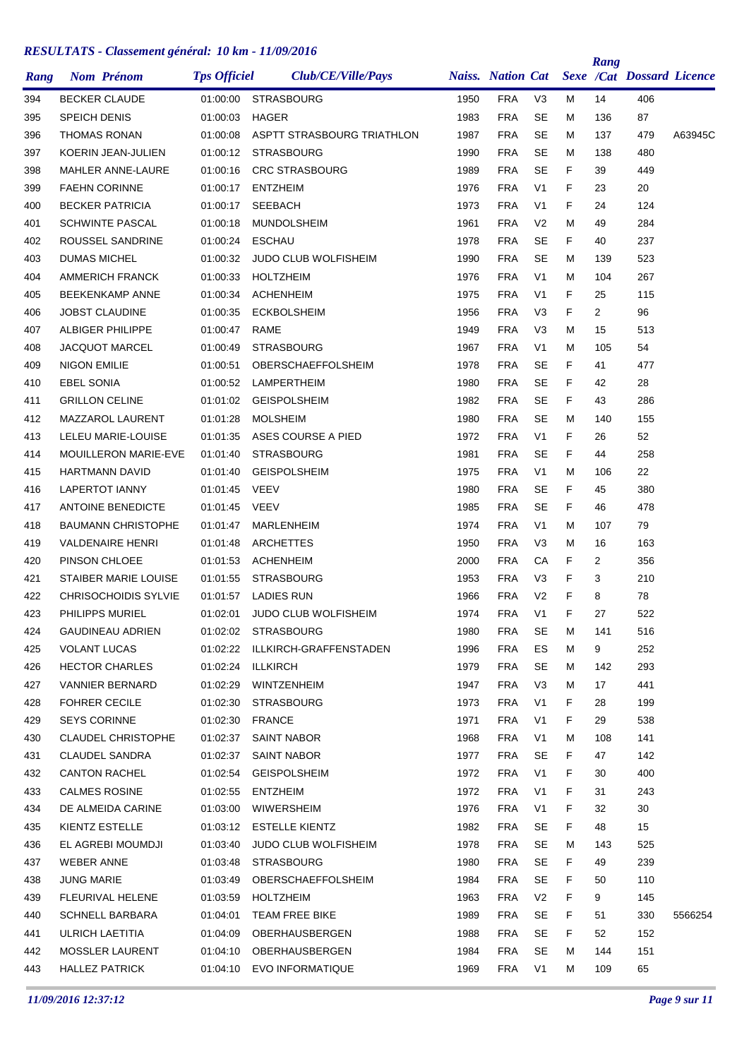| Rang | <b>Nom Prénom</b>           | <b>Tps Officiel</b> | Club/CE/Ville/Pays              |      | <b>Naiss. Nation Cat</b> |                |    | Rang | <b>Sexe /Cat Dossard Licence</b> |         |
|------|-----------------------------|---------------------|---------------------------------|------|--------------------------|----------------|----|------|----------------------------------|---------|
| 394  | <b>BECKER CLAUDE</b>        | 01:00:00            | <b>STRASBOURG</b>               | 1950 | <b>FRA</b>               | V3             | М  | 14   | 406                              |         |
| 395  | <b>SPEICH DENIS</b>         | 01:00:03            | <b>HAGER</b>                    | 1983 | <b>FRA</b>               | SE             | М  | 136  | 87                               |         |
| 396  | <b>THOMAS RONAN</b>         | 01:00:08            | ASPTT STRASBOURG TRIATHLON      | 1987 | <b>FRA</b>               | <b>SE</b>      | м  | 137  | 479                              | A63945C |
| 397  | KOERIN JEAN-JULIEN          | 01:00:12            | <b>STRASBOURG</b>               | 1990 | <b>FRA</b>               | <b>SE</b>      | М  | 138  | 480                              |         |
| 398  | MAHLER ANNE-LAURE           | 01:00:16            | <b>CRC STRASBOURG</b>           | 1989 | <b>FRA</b>               | <b>SE</b>      | F  | 39   | 449                              |         |
| 399  | <b>FAEHN CORINNE</b>        | 01:00:17            | <b>ENTZHEIM</b>                 | 1976 | <b>FRA</b>               | V <sub>1</sub> | F  | 23   | 20                               |         |
| 400  | <b>BECKER PATRICIA</b>      | 01:00:17            | <b>SEEBACH</b>                  | 1973 | <b>FRA</b>               | V1             | F  | 24   | 124                              |         |
| 401  | <b>SCHWINTE PASCAL</b>      | 01:00:18            | <b>MUNDOLSHEIM</b>              | 1961 | <b>FRA</b>               | V <sub>2</sub> | м  | 49   | 284                              |         |
| 402  | ROUSSEL SANDRINE            | 01:00:24            | <b>ESCHAU</b>                   | 1978 | <b>FRA</b>               | <b>SE</b>      | F  | 40   | 237                              |         |
| 403  | <b>DUMAS MICHEL</b>         | 01:00:32            | <b>JUDO CLUB WOLFISHEIM</b>     | 1990 | <b>FRA</b>               | <b>SE</b>      | М  | 139  | 523                              |         |
| 404  | <b>AMMERICH FRANCK</b>      | 01:00:33            | <b>HOLTZHEIM</b>                | 1976 | <b>FRA</b>               | V <sub>1</sub> | М  | 104  | 267                              |         |
| 405  | <b>BEEKENKAMP ANNE</b>      | 01:00:34            | <b>ACHENHEIM</b>                | 1975 | <b>FRA</b>               | V <sub>1</sub> | F  | 25   | 115                              |         |
| 406  | <b>JOBST CLAUDINE</b>       | 01:00:35            | <b>ECKBOLSHEIM</b>              | 1956 | <b>FRA</b>               | V <sub>3</sub> | F  | 2    | 96                               |         |
| 407  | ALBIGER PHILIPPE            | 01:00:47            | RAME                            | 1949 | <b>FRA</b>               | V <sub>3</sub> | М  | 15   | 513                              |         |
| 408  | <b>JACQUOT MARCEL</b>       | 01:00:49            | <b>STRASBOURG</b>               | 1967 | <b>FRA</b>               | V <sub>1</sub> | М  | 105  | 54                               |         |
| 409  | <b>NIGON EMILIE</b>         | 01:00:51            | <b>OBERSCHAEFFOLSHEIM</b>       | 1978 | <b>FRA</b>               | <b>SE</b>      | F  | 41   | 477                              |         |
| 410  | <b>EBEL SONIA</b>           | 01:00:52            | LAMPERTHEIM                     | 1980 | <b>FRA</b>               | <b>SE</b>      | F  | 42   | 28                               |         |
| 411  | <b>GRILLON CELINE</b>       | 01:01:02            | <b>GEISPOLSHEIM</b>             | 1982 | <b>FRA</b>               | <b>SE</b>      | F  | 43   | 286                              |         |
| 412  | MAZZAROL LAURENT            | 01:01:28            | <b>MOLSHEIM</b>                 | 1980 | <b>FRA</b>               | SE             | м  | 140  | 155                              |         |
| 413  | LELEU MARIE-LOUISE          | 01:01:35            | ASES COURSE A PIED              | 1972 | <b>FRA</b>               | V <sub>1</sub> | F  | 26   | 52                               |         |
| 414  | <b>MOUILLERON MARIE-EVE</b> | 01:01:40            | <b>STRASBOURG</b>               | 1981 | <b>FRA</b>               | <b>SE</b>      | F  | 44   | 258                              |         |
| 415  | <b>HARTMANN DAVID</b>       | 01:01:40            | <b>GEISPOLSHEIM</b>             | 1975 | <b>FRA</b>               | V <sub>1</sub> | м  | 106  | 22                               |         |
| 416  | <b>LAPERTOT IANNY</b>       | 01:01:45            | VEEV                            | 1980 | <b>FRA</b>               | <b>SE</b>      | F  | 45   | 380                              |         |
| 417  | <b>ANTOINE BENEDICTE</b>    | 01:01:45            | VEEV                            | 1985 | <b>FRA</b>               | <b>SE</b>      | F  | 46   | 478                              |         |
| 418  | <b>BAUMANN CHRISTOPHE</b>   | 01:01:47            | MARLENHEIM                      | 1974 | <b>FRA</b>               | V <sub>1</sub> | м  | 107  | 79                               |         |
| 419  | <b>VALDENAIRE HENRI</b>     | 01:01:48            | <b>ARCHETTES</b>                | 1950 | <b>FRA</b>               | V <sub>3</sub> | м  | 16   | 163                              |         |
| 420  | PINSON CHLOEE               | 01:01:53            | <b>ACHENHEIM</b>                | 2000 | <b>FRA</b>               | СA             | F  | 2    | 356                              |         |
| 421  | <b>STAIBER MARIE LOUISE</b> | 01:01:55            | <b>STRASBOURG</b>               | 1953 | <b>FRA</b>               | V <sub>3</sub> | F  | 3    | 210                              |         |
| 422  | <b>CHRISOCHOIDIS SYLVIE</b> | 01:01:57            | <b>LADIES RUN</b>               | 1966 | <b>FRA</b>               | V <sub>2</sub> | F  | 8    | 78                               |         |
| 423  | <b>PHILIPPS MURIEL</b>      | 01:02:01            | <b>JUDO CLUB WOLFISHEIM</b>     | 1974 | <b>FRA</b>               | V <sub>1</sub> | F  | 27   | 522                              |         |
| 424  | <b>GAUDINEAU ADRIEN</b>     |                     | 01:02:02 STRASBOURG             | 1980 | <b>FRA</b>               | SE             | M  | 141  | 516                              |         |
| 425  | <b>VOLANT LUCAS</b>         |                     | 01:02:22 ILLKIRCH-GRAFFENSTADEN | 1996 | <b>FRA</b>               | ES             | M  | 9    | 252                              |         |
| 426  | <b>HECTOR CHARLES</b>       |                     | 01:02:24 ILLKIRCH               | 1979 | <b>FRA</b>               | <b>SE</b>      | M  | 142  | 293                              |         |
| 427  | VANNIER BERNARD             | 01:02:29            | <b>WINTZENHEIM</b>              | 1947 | <b>FRA</b>               | V <sub>3</sub> | м  | 17   | 441                              |         |
| 428  | <b>FOHRER CECILE</b>        | 01:02:30            | <b>STRASBOURG</b>               | 1973 | <b>FRA</b>               | V <sub>1</sub> | F. | 28   | 199                              |         |
| 429  | <b>SEYS CORINNE</b>         | 01:02:30            | FRANCE                          | 1971 | <b>FRA</b>               | V1             | F. | 29   | 538                              |         |
| 430  | <b>CLAUDEL CHRISTOPHE</b>   | 01:02:37            | <b>SAINT NABOR</b>              | 1968 | <b>FRA</b>               | V <sub>1</sub> | М  | 108  | 141                              |         |
| 431  | CLAUDEL SANDRA              | 01:02:37            | <b>SAINT NABOR</b>              | 1977 | <b>FRA</b>               | <b>SE</b>      | F. | 47   | 142                              |         |
| 432  | <b>CANTON RACHEL</b>        |                     | 01:02:54 GEISPOLSHEIM           | 1972 | FRA                      | V1             | F  | 30   | 400                              |         |
| 433  | <b>CALMES ROSINE</b>        | 01:02:55            | <b>ENTZHEIM</b>                 | 1972 | <b>FRA</b>               | V <sub>1</sub> | F  | 31   | 243                              |         |
| 434  | DE ALMEIDA CARINE           | 01:03:00            | WIWERSHEIM                      | 1976 | <b>FRA</b>               | V1             | F  | 32   | 30                               |         |
| 435  | KIENTZ ESTELLE              |                     | 01:03:12 ESTELLE KIENTZ         | 1982 | <b>FRA</b>               | <b>SE</b>      | F. | 48   | 15                               |         |
| 436  | EL AGREBI MOUMDJI           | 01:03:40            | JUDO CLUB WOLFISHEIM            | 1978 | <b>FRA</b>               | SE             | м  | 143  | 525                              |         |
| 437  | WEBER ANNE                  |                     | 01:03:48 STRASBOURG             | 1980 | <b>FRA</b>               | <b>SE</b>      | F. | 49   | 239                              |         |
| 438  | <b>JUNG MARIE</b>           | 01:03:49            | OBERSCHAEFFOLSHEIM              | 1984 | <b>FRA</b>               | SE             | F  | 50   | 110                              |         |
| 439  | FLEURIVAL HELENE            | 01:03:59            | HOLTZHEIM                       | 1963 | <b>FRA</b>               | V <sub>2</sub> | F  | 9    | 145                              |         |
| 440  | <b>SCHNELL BARBARA</b>      | 01:04:01            | TEAM FREE BIKE                  | 1989 | <b>FRA</b>               | SE             | F. | 51   | 330                              | 5566254 |
| 441  | ULRICH LAETITIA             | 01:04:09            | OBERHAUSBERGEN                  | 1988 | <b>FRA</b>               | <b>SE</b>      | F. | 52   | 152                              |         |
| 442  | MOSSLER LAURENT             |                     | 01:04:10 OBERHAUSBERGEN         | 1984 | <b>FRA</b>               | <b>SE</b>      | М  | 144  | 151                              |         |
| 443  | <b>HALLEZ PATRICK</b>       |                     | 01:04:10 EVO INFORMATIQUE       | 1969 | <b>FRA</b>               | V <sub>1</sub> | м  | 109  | 65                               |         |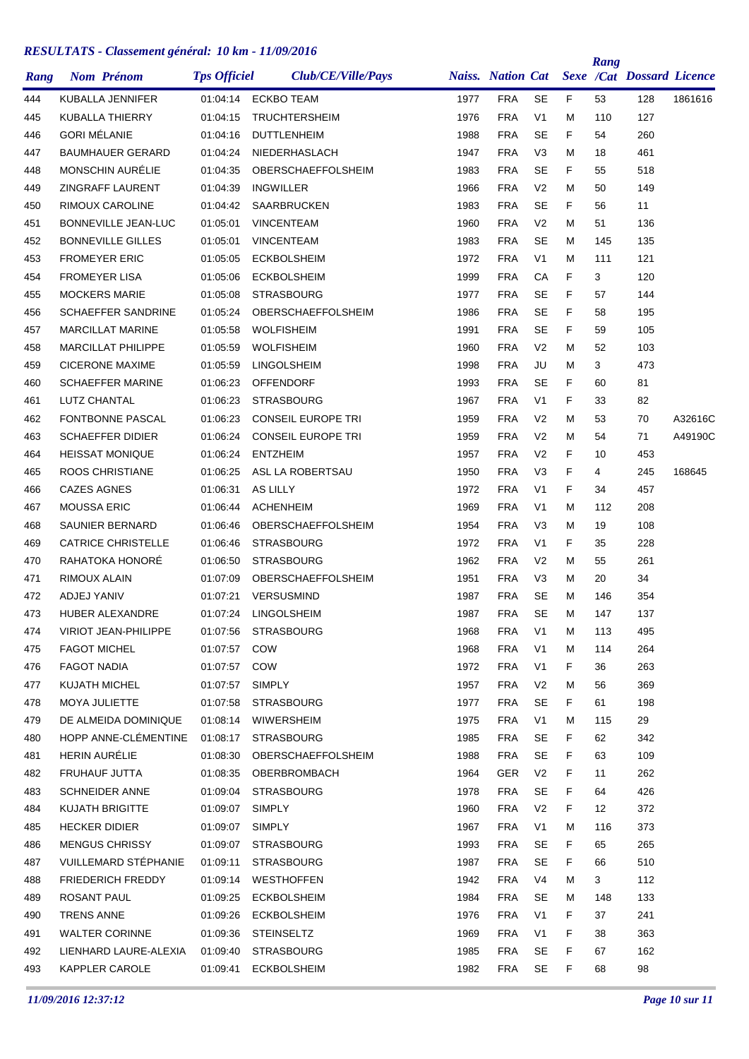| Rang | <b>Nom Prénom</b>          | <b>Tps Officiel</b> | Club/CE/Ville/Pays        |      | <b>Naiss.</b> Nation Cat |                |    | Rang | <b>Sexe /Cat Dossard Licence</b> |         |
|------|----------------------------|---------------------|---------------------------|------|--------------------------|----------------|----|------|----------------------------------|---------|
| 444  | <b>KUBALLA JENNIFER</b>    | 01:04:14            | <b>ECKBO TEAM</b>         | 1977 | <b>FRA</b>               | <b>SE</b>      | F. | 53   | 128                              | 1861616 |
| 445  | KUBALLA THIERRY            | 01:04:15            | <b>TRUCHTERSHEIM</b>      | 1976 | <b>FRA</b>               | V1             | M  | 110  | 127                              |         |
| 446  | <b>GORI MÉLANIE</b>        | 01:04:16            | <b>DUTTLENHEIM</b>        | 1988 | <b>FRA</b>               | SE             | F  | 54   | 260                              |         |
| 447  | <b>BAUMHAUER GERARD</b>    | 01:04:24            | NIEDERHASLACH             | 1947 | <b>FRA</b>               | V <sub>3</sub> | M  | 18   | 461                              |         |
| 448  | MONSCHIN AURÉLIE           | 01:04:35            | OBERSCHAEFFOLSHEIM        | 1983 | <b>FRA</b>               | SE             | F  | 55   | 518                              |         |
| 449  | <b>ZINGRAFF LAURENT</b>    | 01:04:39            | <b>INGWILLER</b>          | 1966 | <b>FRA</b>               | V <sub>2</sub> | м  | 50   | 149                              |         |
| 450  | RIMOUX CAROLINE            | 01:04:42            | <b>SAARBRUCKEN</b>        | 1983 | <b>FRA</b>               | <b>SE</b>      | F  | 56   | 11                               |         |
| 451  | <b>BONNEVILLE JEAN-LUC</b> | 01:05:01            | <b>VINCENTEAM</b>         | 1960 | <b>FRA</b>               | V <sub>2</sub> | M  | 51   | 136                              |         |
| 452  | <b>BONNEVILLE GILLES</b>   | 01:05:01            | <b>VINCENTEAM</b>         | 1983 | <b>FRA</b>               | SE             | м  | 145  | 135                              |         |
| 453  | <b>FROMEYER ERIC</b>       | 01:05:05            | <b>ECKBOLSHEIM</b>        | 1972 | <b>FRA</b>               | V <sub>1</sub> | м  | 111  | 121                              |         |
| 454  | <b>FROMEYER LISA</b>       | 01:05:06            | <b>ECKBOLSHEIM</b>        | 1999 | <b>FRA</b>               | СA             | F  | 3    | 120                              |         |
| 455  | <b>MOCKERS MARIE</b>       | 01:05:08            | <b>STRASBOURG</b>         | 1977 | <b>FRA</b>               | SE             | F  | 57   | 144                              |         |
| 456  | <b>SCHAEFFER SANDRINE</b>  | 01:05:24            | <b>OBERSCHAEFFOLSHEIM</b> | 1986 | <b>FRA</b>               | <b>SE</b>      | F  | 58   | 195                              |         |
| 457  | <b>MARCILLAT MARINE</b>    | 01:05:58            | <b>WOLFISHEIM</b>         | 1991 | <b>FRA</b>               | <b>SE</b>      | F  | 59   | 105                              |         |
| 458  | <b>MARCILLAT PHILIPPE</b>  | 01:05:59            | <b>WOLFISHEIM</b>         | 1960 | <b>FRA</b>               | V <sub>2</sub> | м  | 52   | 103                              |         |
| 459  | <b>CICERONE MAXIME</b>     | 01:05:59            | <b>LINGOLSHEIM</b>        | 1998 | <b>FRA</b>               | JU             | M  | 3    | 473                              |         |
| 460  | <b>SCHAEFFER MARINE</b>    | 01:06:23            | <b>OFFENDORF</b>          | 1993 | <b>FRA</b>               | <b>SE</b>      | F  | 60   | 81                               |         |
| 461  | LUTZ CHANTAL               | 01:06:23            | <b>STRASBOURG</b>         | 1967 | <b>FRA</b>               | V1             | F  | 33   | 82                               |         |
| 462  | FONTBONNE PASCAL           | 01:06:23            | <b>CONSEIL EUROPE TRI</b> | 1959 | <b>FRA</b>               | V2             | M  | 53   | 70                               | A32616C |
| 463  | <b>SCHAEFFER DIDIER</b>    | 01:06:24            | <b>CONSEIL EUROPE TRI</b> | 1959 | <b>FRA</b>               | V <sub>2</sub> | м  | 54   | 71                               | A49190C |
| 464  | <b>HEISSAT MONIQUE</b>     | 01:06:24            | <b>ENTZHEIM</b>           | 1957 | <b>FRA</b>               | V <sub>2</sub> | F  | 10   | 453                              |         |
| 465  | ROOS CHRISTIANE            | 01:06:25            | ASL LA ROBERTSAU          | 1950 | <b>FRA</b>               | V3             | F  | 4    | 245                              | 168645  |
| 466  | <b>CAZES AGNES</b>         | 01:06:31            | AS LILLY                  | 1972 | <b>FRA</b>               | V <sub>1</sub> | F  | 34   | 457                              |         |
| 467  | <b>MOUSSA ERIC</b>         | 01:06:44            | <b>ACHENHEIM</b>          | 1969 | <b>FRA</b>               | V1             | M  | 112  | 208                              |         |
| 468  | SAUNIER BERNARD            | 01:06:46            | OBERSCHAEFFOLSHEIM        | 1954 | <b>FRA</b>               | V <sub>3</sub> | M  | 19   | 108                              |         |
| 469  | <b>CATRICE CHRISTELLE</b>  | 01:06:46            | <b>STRASBOURG</b>         | 1972 | <b>FRA</b>               | V <sub>1</sub> | F  | 35   | 228                              |         |
| 470  | RAHATOKA HONORÉ            | 01:06:50            | <b>STRASBOURG</b>         | 1962 | <b>FRA</b>               | V <sub>2</sub> | м  | 55   | 261                              |         |
| 471  | RIMOUX ALAIN               | 01:07:09            | OBERSCHAEFFOLSHEIM        | 1951 | <b>FRA</b>               | V3             | м  | 20   | 34                               |         |
| 472  | ADJEJ YANIV                | 01:07:21            | <b>VERSUSMIND</b>         | 1987 | <b>FRA</b>               | SE             | м  | 146  | 354                              |         |
| 473  | <b>HUBER ALEXANDRE</b>     | 01:07:24            | <b>LINGOLSHEIM</b>        | 1987 | <b>FRA</b>               | <b>SE</b>      | M  | 147  | 137                              |         |
| 474  | VIRIOT JEAN-PHILIPPE       | 01:07:56            | <b>STRASBOURG</b>         | 1968 | <b>FRA</b>               | V <sub>1</sub> | M  | 113  | 495                              |         |
| 475  | <b>FAGOT MICHEL</b>        | 01:07:57            | COW                       | 1968 | <b>FRA</b>               | V <sub>1</sub> | м  | 114  | 264                              |         |
| 476  | FAGOT NADIA                | 01:07:57 COW        |                           | 1972 | <b>FRA</b>               | V <sub>1</sub> | F  | 36   | 263                              |         |
| 477  | KUJATH MICHEL              | 01:07:57            | <b>SIMPLY</b>             | 1957 | <b>FRA</b>               | V <sub>2</sub> | м  | 56   | 369                              |         |
| 478  | MOYA JULIETTE              | 01:07:58            | <b>STRASBOURG</b>         | 1977 | <b>FRA</b>               | <b>SE</b>      | F. | 61   | 198                              |         |
| 479  | DE ALMEIDA DOMINIQUE       | 01:08:14            | WIWERSHEIM                | 1975 | <b>FRA</b>               | V <sub>1</sub> | м  | 115  | 29                               |         |
| 480  | HOPP ANNE-CLÉMENTINE       | 01:08:17            | <b>STRASBOURG</b>         | 1985 | <b>FRA</b>               | SE             | F  | 62   | 342                              |         |
| 481  | HERIN AURÉLIE              | 01:08:30            | OBERSCHAEFFOLSHEIM        | 1988 | <b>FRA</b>               | <b>SE</b>      | F  | 63   | 109                              |         |
| 482  | FRUHAUF JUTTA              | 01:08:35            | OBERBROMBACH              | 1964 | <b>GER</b>               | V <sub>2</sub> | F  | 11   | 262                              |         |
| 483  | <b>SCHNEIDER ANNE</b>      | 01:09:04            | <b>STRASBOURG</b>         | 1978 | <b>FRA</b>               | SE             | F  | 64   | 426                              |         |
| 484  | <b>KUJATH BRIGITTE</b>     | 01:09:07            | <b>SIMPLY</b>             | 1960 | <b>FRA</b>               | V <sub>2</sub> | F. | 12   | 372                              |         |
| 485  | <b>HECKER DIDIER</b>       | 01:09:07            | <b>SIMPLY</b>             | 1967 | <b>FRA</b>               | V <sub>1</sub> | м  | 116  | 373                              |         |
| 486  | <b>MENGUS CHRISSY</b>      | 01:09:07            | <b>STRASBOURG</b>         | 1993 | <b>FRA</b>               | <b>SE</b>      | F  | 65   | 265                              |         |
| 487  | VUILLEMARD STÉPHANIE       | 01:09:11            | <b>STRASBOURG</b>         | 1987 | <b>FRA</b>               | <b>SE</b>      | F  | 66   | 510                              |         |
| 488  | FRIEDERICH FREDDY          | 01:09:14            | <b>WESTHOFFEN</b>         | 1942 | <b>FRA</b>               | V <sub>4</sub> | м  | 3    | 112                              |         |
| 489  | ROSANT PAUL                | 01:09:25            | <b>ECKBOLSHEIM</b>        | 1984 | <b>FRA</b>               | SE             | м  | 148  | 133                              |         |
| 490  | <b>TRENS ANNE</b>          | 01:09:26            | <b>ECKBOLSHEIM</b>        | 1976 | <b>FRA</b>               | V <sub>1</sub> | F  | 37   | 241                              |         |
| 491  | <b>WALTER CORINNE</b>      | 01:09:36            | STEINSELTZ                | 1969 | <b>FRA</b>               | V <sub>1</sub> | F  | 38   | 363                              |         |
| 492  | LIENHARD LAURE-ALEXIA      | 01:09:40            | <b>STRASBOURG</b>         | 1985 | <b>FRA</b>               | <b>SE</b>      | F  | 67   | 162                              |         |
| 493  | KAPPLER CAROLE             | 01:09:41            | <b>ECKBOLSHEIM</b>        | 1982 | <b>FRA</b>               | SE             | F  | 68   | 98                               |         |
|      |                            |                     |                           |      |                          |                |    |      |                                  |         |